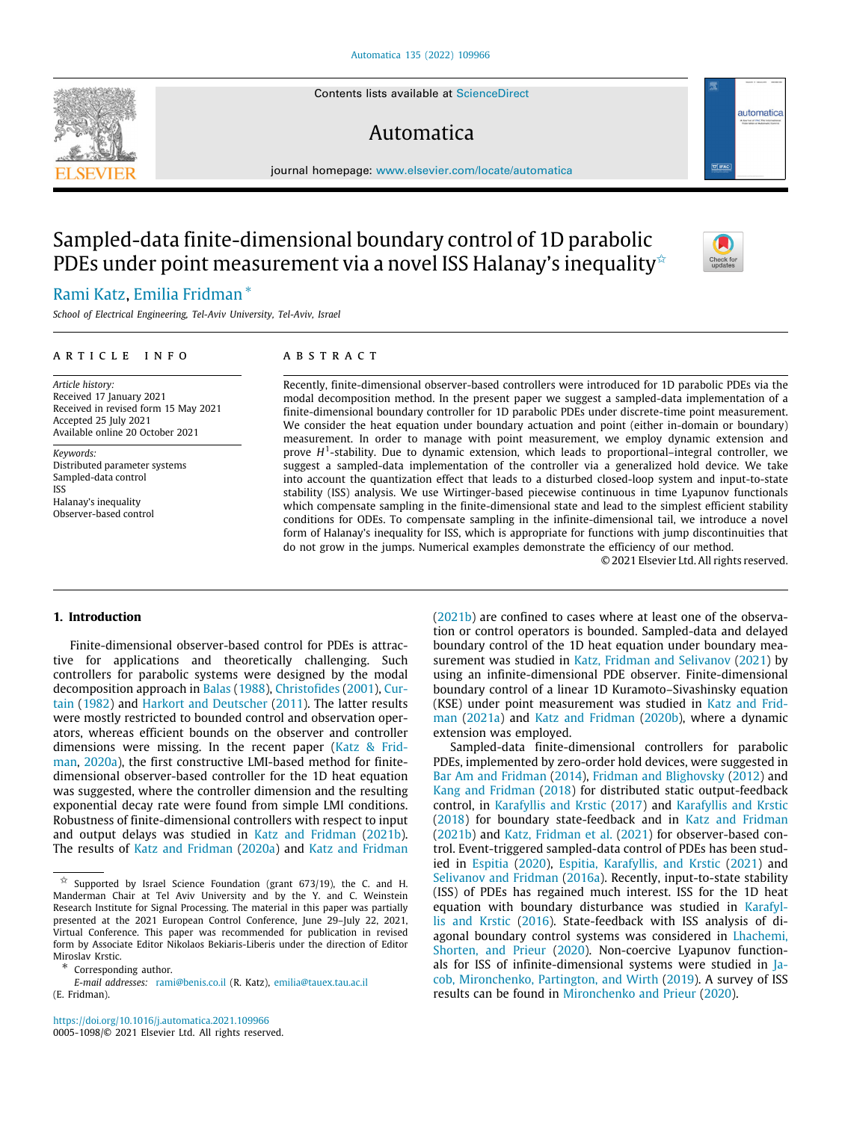Contents lists available at [ScienceDirect](http://www.elsevier.com/locate/automatica)

# Automatica

journal homepage: [www.elsevier.com/locate/automatica](http://www.elsevier.com/locate/automatica)

# Sampled-data finite-dimensional boundary control of 1D parabolic PDEs under point measurement via a novel ISS Halanay's inequality  $\triangle$

# [Rami](#page-13-0) [Katz](#page-13-0), [Emilia](#page-13-1) [Fridman](#page-13-1) [∗](#page-0-1)

*School of Electrical Engineering, Tel-Aviv University, Tel-Aviv, Israel*

# ARTICLE INFO

*Article history:* Received 17 January 2021 Received in revised form 15 May 2021 Accepted 25 July 2021 Available online 20 October 2021

*Keywords:* Distributed parameter systems Sampled-data control ISS Halanay's inequality Observer-based control

# a b s t r a c t

Recently, finite-dimensional observer-based controllers were introduced for 1D parabolic PDEs via the modal decomposition method. In the present paper we suggest a sampled-data implementation of a finite-dimensional boundary controller for 1D parabolic PDEs under discrete-time point measurement. We consider the heat equation under boundary actuation and point (either in-domain or boundary) measurement. In order to manage with point measurement, we employ dynamic extension and prove H<sup>1</sup>-stability. Due to dynamic extension, which leads to proportional–integral controller, we suggest a sampled-data implementation of the controller via a generalized hold device. We take into account the quantization effect that leads to a disturbed closed-loop system and input-to-state stability (ISS) analysis. We use Wirtinger-based piecewise continuous in time Lyapunov functionals which compensate sampling in the finite-dimensional state and lead to the simplest efficient stability conditions for ODEs. To compensate sampling in the infinite-dimensional tail, we introduce a novel form of Halanay's inequality for ISS, which is appropriate for functions with jump discontinuities that do not grow in the jumps. Numerical examples demonstrate the efficiency of our method.

© 2021 Elsevier Ltd. All rights reserved.

# **1. Introduction**

Finite-dimensional observer-based control for PDEs is attractive for applications and theoretically challenging. Such controllers for parabolic systems were designed by the modal decomposition approach in [Balas](#page-12-0) ([1988\)](#page-12-0), [Christofides](#page-12-1) ([2001\)](#page-12-1), [Cur](#page-12-2)[tain](#page-12-2) [\(1982\)](#page-12-2) and [Harkort and Deutscher](#page-12-3) [\(2011\)](#page-12-3). The latter results were mostly restricted to bounded control and observation operators, whereas efficient bounds on the observer and controller dimensions were missing. In the recent paper [\(Katz & Frid](#page-12-4)[man,](#page-12-4) [2020a](#page-12-4)), the first constructive LMI-based method for finitedimensional observer-based controller for the 1D heat equation was suggested, where the controller dimension and the resulting exponential decay rate were found from simple LMI conditions. Robustness of finite-dimensional controllers with respect to input and output delays was studied in [Katz and Fridman](#page-12-5) ([2021b\)](#page-12-5). The results of [Katz and Fridman](#page-12-4) [\(2020a\)](#page-12-4) and [Katz and Fridman](#page-12-5)

<https://doi.org/10.1016/j.automatica.2021.109966> 0005-1098/© 2021 Elsevier Ltd. All rights reserved. ([2021b\)](#page-12-5) are confined to cases where at least one of the observation or control operators is bounded. Sampled-data and delayed boundary control of the 1D heat equation under boundary measurement was studied in [Katz, Fridman and Selivanov](#page-13-2) [\(2021](#page-13-2)) by using an infinite-dimensional PDE observer. Finite-dimensional boundary control of a linear 1D Kuramoto–Sivashinsky equation (KSE) under point measurement was studied in [Katz and Frid](#page-12-6)[man](#page-12-6) [\(2021a\)](#page-12-6) and [Katz and Fridman](#page-12-7) [\(2020b](#page-12-7)), where a dynamic extension was employed.

Sampled-data finite-dimensional controllers for parabolic PDEs, implemented by zero-order hold devices, were suggested in [Bar Am and Fridman](#page-12-8) ([2014\)](#page-12-8), [Fridman and Blighovsky](#page-12-9) [\(2012\)](#page-12-9) and [Kang and Fridman](#page-12-10) [\(2018](#page-12-10)) for distributed static output-feedback control, in [Karafyllis and Krstic](#page-12-11) ([2017\)](#page-12-11) and [Karafyllis and Krstic](#page-12-12) ([2018\)](#page-12-12) for boundary state-feedback and in [Katz and Fridman](#page-12-5) ([2021b\)](#page-12-5) and [Katz, Fridman et al.](#page-13-2) ([2021\)](#page-13-2) for observer-based control. Event-triggered sampled-data control of PDEs has been studied in [Espitia](#page-12-13) [\(2020](#page-12-13)), [Espitia, Karafyllis, and Krstic](#page-12-14) ([2021](#page-12-14)) and [Selivanov and Fridman](#page-13-3) [\(2016a\)](#page-13-3). Recently, input-to-state stability (ISS) of PDEs has regained much interest. ISS for the 1D heat equation with boundary disturbance was studied in [Karafyl](#page-12-15)[lis and Krstic](#page-12-15) [\(2016\)](#page-12-15). State-feedback with ISS analysis of diagonal boundary control systems was considered in [Lhachemi,](#page-13-4) [Shorten, and Prieur](#page-13-4) ([2020\)](#page-13-4). Non-coercive Lyapunov functionals for ISS of infinite-dimensional systems were studied in [Ja](#page-12-16)[cob, Mironchenko, Partington, and Wirth](#page-12-16) ([2019](#page-12-16)). A survey of ISS results can be found in [Mironchenko and Prieur](#page-13-5) [\(2020\)](#page-13-5).







<span id="page-0-0"></span> $\overleftrightarrow{x}$  Supported by Israel Science Foundation (grant 673/19), the C. and H. Manderman Chair at Tel Aviv University and by the Y. and C. Weinstein Research Institute for Signal Processing. The material in this paper was partially presented at the 2021 European Control Conference, June 29–July 22, 2021, Virtual Conference. This paper was recommended for publication in revised form by Associate Editor Nikolaos Bekiaris-Liberis under the direction of Editor Miroslav Krstic.

<span id="page-0-1"></span><sup>∗</sup> Corresponding author.

*E-mail addresses:* [rami@benis.co.il](mailto:rami@benis.co.il) (R. Katz), [emilia@tauex.tau.ac.il](mailto:emilia@tauex.tau.ac.il) (E. Fridman).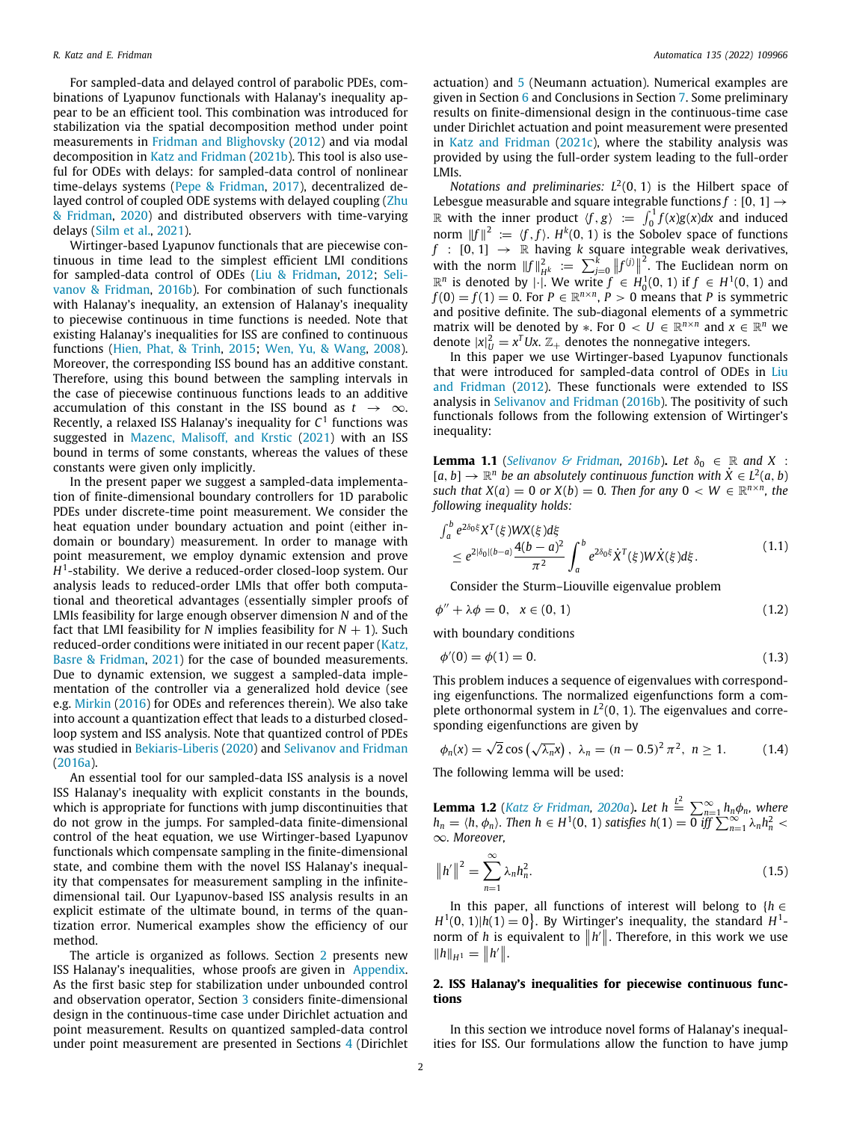For sampled-data and delayed control of parabolic PDEs, combinations of Lyapunov functionals with Halanay's inequality appear to be an efficient tool. This combination was introduced for stabilization via the spatial decomposition method under point measurements in [Fridman and Blighovsky](#page-12-9) ([2012\)](#page-12-9) and via modal decomposition in [Katz and Fridman](#page-12-5) ([2021b\)](#page-12-5). This tool is also useful for ODEs with delays: for sampled-data control of nonlinear time-delays systems ([Pepe & Fridman](#page-13-6), [2017\)](#page-13-6), decentralized delayed control of coupled ODE systems with delayed coupling ([Zhu](#page-13-7) [& Fridman](#page-13-7), [2020\)](#page-13-7) and distributed observers with time-varying delays ([Silm et al.](#page-13-8), [2021](#page-13-8)).

Wirtinger-based Lyapunov functionals that are piecewise continuous in time lead to the simplest efficient LMI conditions for sampled-data control of ODEs ([Liu & Fridman,](#page-13-9) [2012](#page-13-9); [Seli](#page-13-10)[vanov & Fridman](#page-13-10), [2016b](#page-13-10)). For combination of such functionals with Halanay's inequality, an extension of Halanay's inequality to piecewise continuous in time functions is needed. Note that existing Halanay's inequalities for ISS are confined to continuous functions [\(Hien, Phat, & Trinh](#page-12-17), [2015](#page-12-17); [Wen, Yu, & Wang,](#page-13-11) [2008\)](#page-13-11). Moreover, the corresponding ISS bound has an additive constant. Therefore, using this bound between the sampling intervals in the case of piecewise continuous functions leads to an additive accumulation of this constant in the ISS bound as  $t \rightarrow \infty$ . Recently, a relaxed ISS Halanay's inequality for *C* 1 functions was suggested in [Mazenc, Malisoff, and Krstic](#page-13-12) [\(2021\)](#page-13-12) with an ISS bound in terms of some constants, whereas the values of these constants were given only implicitly.

In the present paper we suggest a sampled-data implementation of finite-dimensional boundary controllers for 1D parabolic PDEs under discrete-time point measurement. We consider the heat equation under boundary actuation and point (either indomain or boundary) measurement. In order to manage with point measurement, we employ dynamic extension and prove *H* 1 -stability. We derive a reduced-order closed-loop system. Our analysis leads to reduced-order LMIs that offer both computational and theoretical advantages (essentially simpler proofs of LMIs feasibility for large enough observer dimension *N* and of the fact that LMI feasibility for *N* implies feasibility for  $N + 1$ ). Such reduced-order conditions were initiated in our recent paper ([Katz,](#page-12-18) [Basre & Fridman,](#page-12-18) [2021\)](#page-12-18) for the case of bounded measurements. Due to dynamic extension, we suggest a sampled-data implementation of the controller via a generalized hold device (see e.g. [Mirkin](#page-13-13) [\(2016](#page-13-13)) for ODEs and references therein). We also take into account a quantization effect that leads to a disturbed closedloop system and ISS analysis. Note that quantized control of PDEs was studied in [Bekiaris-Liberis](#page-12-19) [\(2020](#page-12-19)) and [Selivanov and Fridman](#page-13-3) ([2016a](#page-13-3)).

An essential tool for our sampled-data ISS analysis is a novel ISS Halanay's inequality with explicit constants in the bounds, which is appropriate for functions with jump discontinuities that do not grow in the jumps. For sampled-data finite-dimensional control of the heat equation, we use Wirtinger-based Lyapunov functionals which compensate sampling in the finite-dimensional state, and combine them with the novel ISS Halanay's inequality that compensates for measurement sampling in the infinitedimensional tail. Our Lyapunov-based ISS analysis results in an explicit estimate of the ultimate bound, in terms of the quantization error. Numerical examples show the efficiency of our method.

The article is organized as follows. Section [2](#page-1-0) presents new ISS Halanay's inequalities, whose proofs are given in [Appendix.](#page-11-0) As the first basic step for stabilization under unbounded control and observation operator, Section [3](#page-3-0) considers finite-dimensional design in the continuous-time case under Dirichlet actuation and point measurement. Results on quantized sampled-data control under point measurement are presented in Sections [4](#page-5-0) (Dirichlet actuation) and [5](#page-9-0) (Neumann actuation). Numerical examples are given in Section [6](#page-10-0) and Conclusions in Section [7](#page-10-1). Some preliminary results on finite-dimensional design in the continuous-time case under Dirichlet actuation and point measurement were presented in [Katz and Fridman](#page-12-20) [\(2021c](#page-12-20)), where the stability analysis was provided by using the full-order system leading to the full-order LMIs.

*Notations and preliminaries:*  $L^2(0, 1)$  is the Hilbert space of Lebesgue measurable and square integrable functions  $f : [0, 1] \rightarrow$ R with the inner product  $\langle f, g \rangle := \int_0^1 f(x)g(x)dx$  and induced norm  $||f||^2 := \langle f, f \rangle$ .  $H^k(0, 1)$  is the Sobolev space of functions  $f : [0, 1] \rightarrow \mathbb{R}$  having *k* square integrable weak derivatives, with the norm  $||f||_{H^k}^2 = \sum_{j=0}^k ||f^{(j)}||^2$ . The Euclidean norm on  $\mathbb{R}^n$  is denoted by  $\|\cdot\|$ . We write *f* ∈  $H_0^1(0, 1)$  if *f* ∈  $H^1(0, 1)$  and  $f(0) = f(1) = 0$ . For  $P \in \mathbb{R}^{n \times n}$ ,  $P > 0$  means that *P* is symmetric and positive definite. The sub-diagonal elements of a symmetric matrix will be denoted by  $*$ . For  $0 < U \in \mathbb{R}^{n \times n}$  and  $x \in \mathbb{R}^n$  we denote  $|x|_U^2 = x^T Ux$ .  $\mathbb{Z}_+$  denotes the nonnegative integers.

In this paper we use Wirtinger-based Lyapunov functionals that were introduced for sampled-data control of ODEs in [Liu](#page-13-9) [and Fridman](#page-13-9) ([2012\)](#page-13-9). These functionals were extended to ISS analysis in [Selivanov and Fridman](#page-13-10) [\(2016b](#page-13-10)). The positivity of such functionals follows from the following extension of Wirtinger's inequality:

**Lemma 1.1** (*[Selivanov & Fridman,](#page-13-10) [2016b](#page-13-10)*). Let  $\delta_0 \in \mathbb{R}$  and X :  $[a, b] \rightarrow \mathbb{R}^n$  *be an absolutely continuous function with*  $\dot{X} \in L^2(a, b)$ *such that*  $X(a) = 0$  *or*  $X(b) = 0$ *. Then for any*  $0 < W \in \mathbb{R}^{n \times n}$ *, the following inequality holds:*

$$
\int_{a}^{b} e^{2\delta_{0}\xi} X^{T}(\xi) W X(\xi) d\xi \n\leq e^{2|\delta_{0}|(b-a)} \frac{4(b-a)^{2}}{\pi^{2}} \int_{a}^{b} e^{2\delta_{0}\xi} \dot{X}^{T}(\xi) W \dot{X}(\xi) d\xi.
$$
\n(1.1)

<span id="page-1-6"></span><span id="page-1-3"></span><span id="page-1-2"></span>Consider the Sturm–Liouville eigenvalue problem

 $\phi'' + \lambda \phi = 0, \quad x \in (0, 1)$  (1.2)

with boundary conditions

$$
\phi'(0) = \phi(1) = 0. \tag{1.3}
$$

This problem induces a sequence of eigenvalues with corresponding eigenfunctions. The normalized eigenfunctions form a complete orthonormal system in  $L^2(0, 1)$ . The eigenvalues and corresponding eigenfunctions are given by

<span id="page-1-5"></span><span id="page-1-1"></span>
$$
\phi_n(x) = \sqrt{2} \cos (\sqrt{\lambda_n} x), \lambda_n = (n - 0.5)^2 \pi^2, n \ge 1.
$$
 (1.4)

The following lemma will be used:

**Lemma 1.2** (*[Katz & Fridman,](#page-12-4) [2020a](#page-12-4)*). Let  $h \stackrel{L^2}{=} \sum_{n=1}^{\infty} h_n \phi_n$ , where *h*<sub>n</sub> =  $\langle h, \phi_n \rangle$ *. Then h* ∈ *H*<sup>1</sup>(0, 1) *satisfies h*(1) = 0 *iff*  $\sum_{n=1}^{\infty} \lambda_n h_n^2$  < ∞*. Moreover,*

<span id="page-1-4"></span>
$$
||h'||^2 = \sum_{n=1}^{\infty} \lambda_n h_n^2.
$$
 (1.5)

In this paper, all functions of interest will belong to  ${h \in \mathbb{R}^d}$  $H^1(0, 1)$ |*h*(1) = 0 }. By Wirtinger's inequality, the standard  $H^1$ norm of *h* is equivalent to  $||h'||$ . Therefore, in this work we use  $||h||_{H^1} = ||h'||.$ 

# **2. ISS Halanay's inequalities for piecewise continuous functions**

<span id="page-1-0"></span>In this section we introduce novel forms of Halanay's inequalities for ISS. Our formulations allow the function to have jump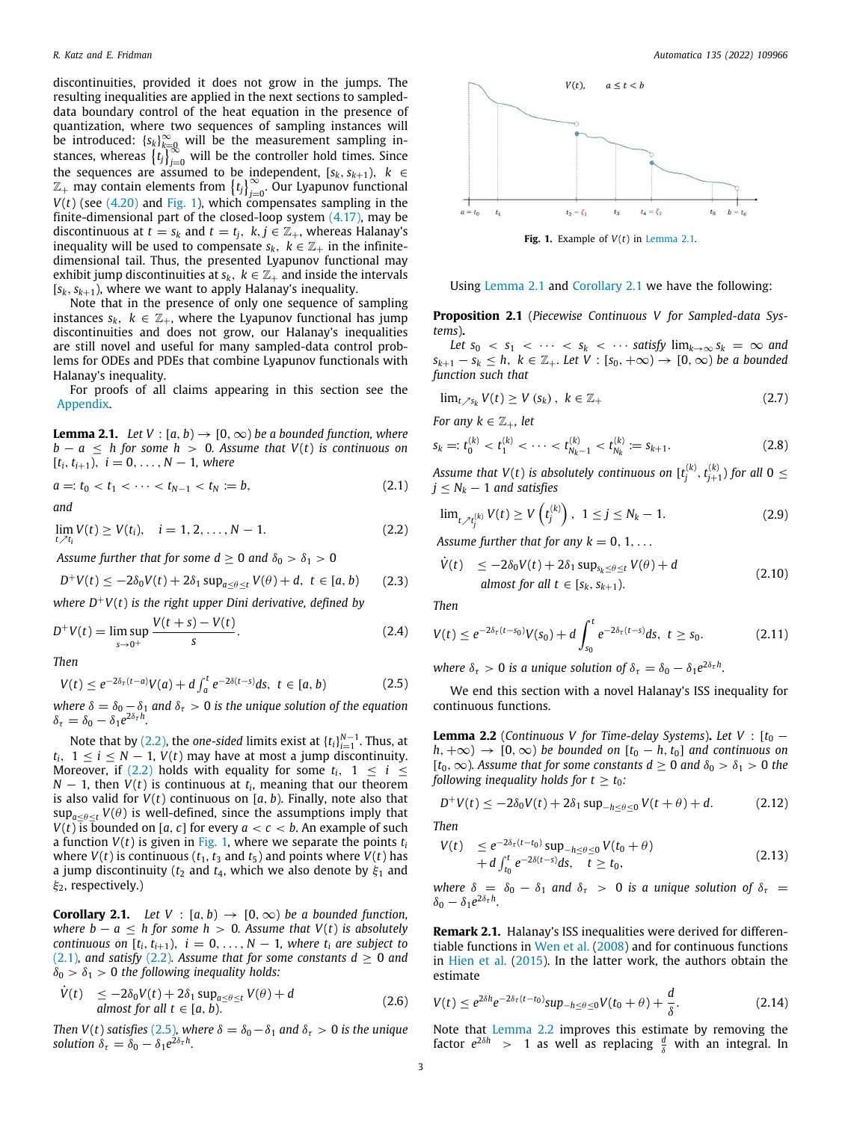discontinuities, provided it does not grow in the jumps. The resulting inequalities are applied in the next sections to sampleddata boundary control of the heat equation in the presence of quantization, where two sequences of sampling instances will be introduced:  ${s_k}_{k=0}^{\infty}$  will be the measurement sampling instances, whereas  $\{t_j\}_{j=0}^{\infty}$  will be the controller hold times. Since the sequences are assumed to be independent,  $[s_k, s_{k+1}), k \in$  $\mathbb{Z}_+$  may contain elements from  $\{t_j\}_{j=0}^\infty$ . Our Lyapunov functional  $V(t)$  (see  $(4.20)$  and [Fig.](#page-2-0) [1](#page-2-0)), which compensates sampling in the finite-dimensional part of the closed-loop system  $(4.17)$  $(4.17)$  $(4.17)$ , may be discontinuous at  $t = s_k$  and  $t = t_j$ ,  $k, j \in \mathbb{Z}_+$ , whereas Halanay's inequality will be used to compensate  $s_k$ ,  $k \in \mathbb{Z}_+$  in the infinitedimensional tail. Thus, the presented Lyapunov functional may exhibit jump discontinuities at  $s_k$ ,  $k \in \mathbb{Z}_+$  and inside the intervals  $[s_k, s_{k+1})$ , where we want to apply Halanay's inequality.

Note that in the presence of only one sequence of sampling instances  $s_k$ ,  $k \in \mathbb{Z}_+$ , where the Lyapunov functional has jump discontinuities and does not grow, our Halanay's inequalities are still novel and useful for many sampled-data control problems for ODEs and PDEs that combine Lyapunov functionals with Halanay's inequality.

For proofs of all claims appearing in this section see the [Appendix](#page-11-0).

<span id="page-2-4"></span>**Lemma 2.1.** *Let*  $V : [a, b] \rightarrow [0, \infty)$  *be a bounded function, where*  $b - a \leq h$  *for some*  $h > 0$ *. Assume that V(t) is continuous on*  $[t_i, t_{i+1}), i = 0, \ldots, N-1$ , where

$$
a =: t_0 < t_1 < \cdots < t_{N-1} < t_N := b,
$$
\n(2.1)

*and*

 $\lim_{t \nearrow t_i} V(t) \geq V(t_i), \quad i = 1, 2, ..., N - 1.$  (2.2)

*Assume further that for some*  $d \ge 0$  *and*  $\delta_0 > \delta_1 > 0$ 

$$
D^{+}V(t) \leq -2\delta_0 V(t) + 2\delta_1 \sup_{a \leq \theta \leq t} V(\theta) + d, \ t \in [a, b) \qquad (2.3)
$$

*where D*+*V*(*t*) *is the right upper Dini derivative, defined by*

$$
D^{+}V(t) = \limsup_{s \to 0^{+}} \frac{V(t+s) - V(t)}{s}.
$$
 (2.4)

*Then*

$$
V(t) \le e^{-2\delta_{\tau}(t-a)}V(a) + d \int_{a}^{t} e^{-2\delta(t-s)} ds, \ t \in [a, b)
$$
 (2.5)

*where*  $\delta = \delta_0 - \delta_1$  *and*  $\delta_{\tau} > 0$  *is the unique solution of the equation*  $\delta_{\tau} = \delta_0 - \delta_1 e^{2\delta_{\tau} h}.$ 

Note that by ([2.2](#page-2-1)), the *one-sided* limits exist at  $\{t_i\}_{i=1}^{N-1}$ . Thus, at *t*<sub>*i*</sub>, 1 ≤ *i* ≤ *N* − 1, *V*(*t*) may have at most a jump discontinuity. Moreover, if [\(2.2](#page-2-1)) holds with equality for some  $t_i$ ,  $1 \le i \le$  $N-1$ , then  $V(t)$  is continuous at  $t_i$ , meaning that our theorem is also valid for *V*(*t*) continuous on [*a*, *b*). Finally, note also that  $\sup_{a \leq \theta \leq t} V(\theta)$  is well-defined, since the assumptions imply that *V*(*t*) is bounded on [*a*, *c*] for every  $a < c < b$ . An example of such a function  $V(t)$  is given in [Fig.](#page-2-0) [1](#page-2-0), where we separate the points  $t_i$ where  $V(t)$  is continuous ( $t_1$ ,  $t_3$  and  $t_5$ ) and points where  $V(t)$  has a jump discontinuity ( $t_2$  and  $t_4$ , which we also denote by  $\xi_1$  and ξ2, respectively.)

<span id="page-2-5"></span>**Corollary 2.1.** *Let*  $V : [a, b) \rightarrow [0, \infty)$  *be a bounded function, where b* −  $a \le h$  *for some h* > 0*. Assume that V(t) is absolutely continuous on*  $[t_i, t_{i+1}), i = 0, \ldots, N-1$ , where  $t_i$  are subject to ([2.1](#page-2-2))*, and satisfy* ([2.2](#page-2-1))*. Assume that for some constants*  $d \ge 0$  *and*  $\delta_0 > \delta_1 > 0$  the following inequality holds:

$$
\dot{V}(t) \le -2\delta_0 V(t) + 2\delta_1 \sup_{a \le \theta \le t} V(\theta) + d
$$
\n
$$
\text{almost for all } t \in [a, b). \tag{2.6}
$$

*Then V*(*t*) *satisfies* ([2.5\)](#page-2-3)*, where*  $\delta = \delta_0 - \delta_1$  *and*  $\delta_{\tau} > 0$  *is the unique solution*  $\delta_{\tau} = \delta_0 - \delta_1 e^{2\delta_{\tau} h}$ .



<span id="page-2-9"></span><span id="page-2-7"></span>**Fig. 1.** Example of *V*(*t*) in [Lemma](#page-2-4) [2.1.](#page-2-4)

<span id="page-2-0"></span>Using [Lemma](#page-2-4) [2.1](#page-2-4) and [Corollary](#page-2-5) [2.1](#page-2-5) we have the following:

**Proposition 2.1** (*Piecewise Continuous V for Sampled-data Systems*)**.**

*Let*  $s_0 < s_1 < \cdots < s_k < \cdots$  *satisfy*  $\lim_{k \to \infty} s_k = \infty$  *and s*<sub>*k*+1</sub> − *s*<sub>*k*</sub>  $\leq$  *h*, *k* ∈  $\mathbb{Z}_+$ *. Let V* : [*s*<sub>0</sub>, +∞) → [0, ∞) *be a bounded function such that*

$$
\lim_{t \nearrow s_k} V(t) \ge V(s_k), \ k \in \mathbb{Z}_+ \tag{2.7}
$$

*For any*  $k \in \mathbb{Z}_+$ *, let* 

$$
s_k =: t_0^{(k)} < t_1^{(k)} < \cdots < t_{N_k - 1}^{(k)} < t_{N_k}^{(k)} := s_{k+1}.
$$
\n(2.8)

<span id="page-2-2"></span>Assume that  $V(t)$  is absolutely continuous on  $[t_j^{(k)}, t_{j+1}^{(k)})$  for all  $0 \leq$  $j \leq N_k - 1$  *and satisfies* 

<span id="page-2-10"></span>
$$
\lim_{t \nearrow t_j^{(k)}} V(t) \ge V\left(t_j^{(k)}\right), \ 1 \le j \le N_k - 1. \tag{2.9}
$$

<span id="page-2-1"></span>*Assume further that for any*  $k = 0, 1, \ldots$ 

<span id="page-2-12"></span>
$$
\dot{V}(t) \le -2\delta_0 V(t) + 2\delta_1 \sup_{s_k \le \theta \le t} V(\theta) + d
$$
\nalmost for all  $t \in [s_k, s_{k+1})$ . (2.10)

<span id="page-2-11"></span>*Then*

<span id="page-2-13"></span>
$$
V(t) \le e^{-2\delta_{\tau}(t-s_0)}V(s_0) + d \int_{s_0}^t e^{-2\delta_{\tau}(t-s)} ds, \ t \ge s_0.
$$
 (2.11)

*where*  $\delta_{\tau} > 0$  *is a unique solution of*  $\delta_{\tau} = \delta_0 - \delta_1 e^{2\delta_{\tau} h}$ .

<span id="page-2-3"></span>We end this section with a novel Halanay's ISS inequality for continuous functions.

<span id="page-2-6"></span>**Lemma 2.2** (*Continuous V for Time-delay Systems*). *Let V* :  $[t_0$  $h, +\infty$ )  $\rightarrow$  [0,  $\infty$ ) *be bounded on* [ $t_0 - h, t_0$ ] *and continuous on* [ $t_0, \infty$ ]*.* Assume that for some constants  $d \geq 0$  and  $\delta_0 > \delta_1 > 0$  the *following inequality holds for*  $t \geq t_0$ *:* 

<span id="page-2-15"></span>
$$
D^{+}V(t) \le -2\delta_0 V(t) + 2\delta_1 \sup_{-h \le \theta \le 0} V(t + \theta) + d. \tag{2.12}
$$

*Then*

<span id="page-2-8"></span>
$$
V(t) \le e^{-2\delta_{\tau}(t-t_0)} \sup_{-h \le \theta \le 0} V(t_0 + \theta) + d \int_{t_0}^t e^{-2\delta(t-s)} ds, \quad t \ge t_0,
$$
\n(2.13)

*where*  $\delta = \delta_0 - \delta_1$  *and*  $\delta_\tau > 0$  *is a unique solution of*  $\delta_\tau =$  $\delta_0 - \delta_1 e^{2\delta_{\tau} h}$ .

**Remark 2.1.** Halanay's ISS inequalities were derived for differentiable functions in [Wen et al.](#page-13-11) ([2008\)](#page-13-11) and for continuous functions in [Hien et al.](#page-12-17) [\(2015](#page-12-17)). In the latter work, the authors obtain the estimate

<span id="page-2-14"></span>
$$
V(t) \le e^{2\delta h} e^{-2\delta_{\tau}(t-t_0)} \sup_{-h \le \theta \le 0} V(t_0 + \theta) + \frac{d}{\delta}.
$$
 (2.14)

Note that [Lemma](#page-2-6) [2.2](#page-2-6) improves this estimate by removing the factor  $e^{2\delta h}$  > 1 as well as replacing  $\frac{d}{\delta}$  with an integral. In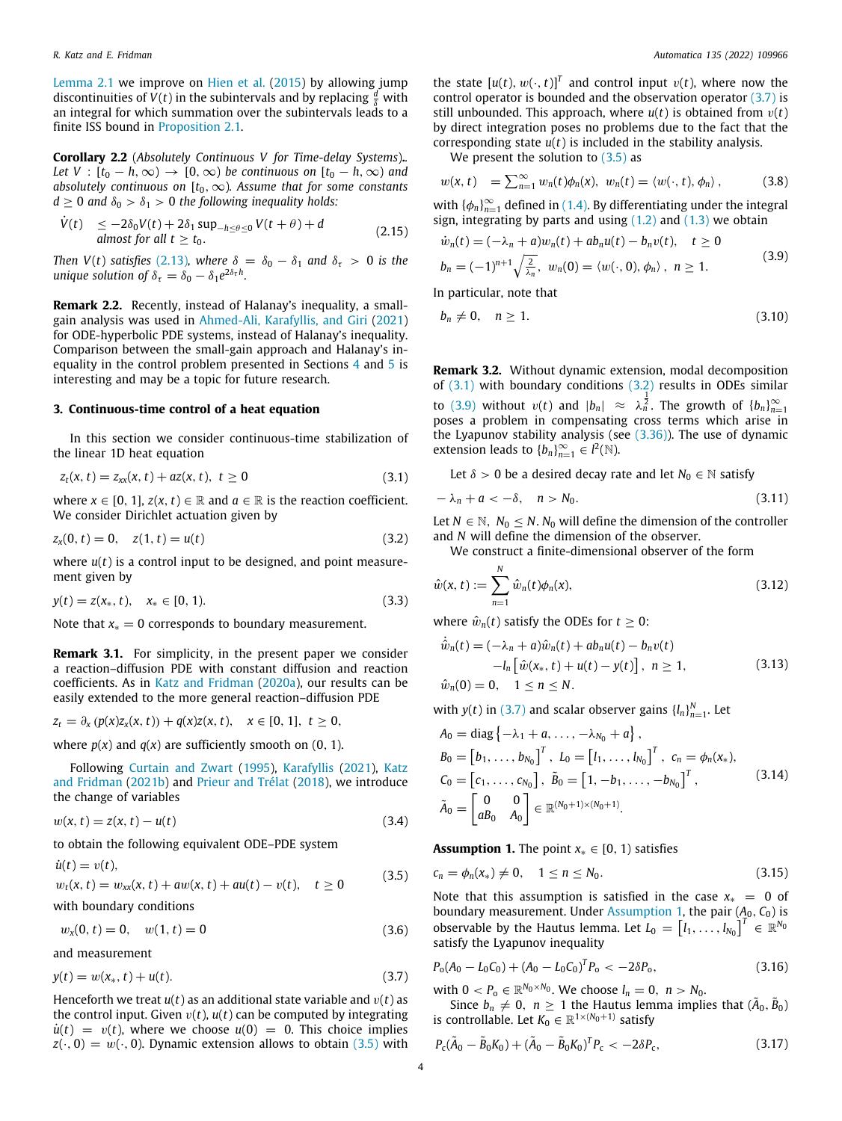[Lemma](#page-2-4) [2.1](#page-2-4) we improve on [Hien et al.](#page-12-17) [\(2015](#page-12-17)) by allowing jump discontinuities of  $V(t)$  in the subintervals and by replacing  $\frac{d}{\delta}$  with an integral for which summation over the subintervals leads to a finite ISS bound in [Proposition](#page-2-7) [2.1](#page-2-7).

<span id="page-3-16"></span>**Corollary 2.2** (*Absolutely Continuous V for Time-delay Systems*)**.***. Let V* :  $[t_0 - h, \infty) \rightarrow [0, \infty)$  *be continuous on*  $[t_0 - h, \infty)$  *and absolutely continuous on*  $[t_0, \infty)$ *. Assume that for some constants*  $d > 0$  *and*  $\delta_0 > \delta_1 > 0$  *the following inequality holds:* 

$$
\dot{V}(t) \le -2\delta_0 V(t) + 2\delta_1 \sup_{-h \le \theta \le 0} V(t + \theta) + d
$$
\n
$$
\text{almost for all } t \ge t_0. \tag{2.15}
$$

*Then V*(*t*) *satisfies* ([2.13](#page-2-8))*, where*  $\delta = \delta_0 - \delta_1$  *and*  $\delta_{\tau} > 0$  *is the unique solution of*  $\delta_{\tau} = \delta_0 - \delta_1 e^{2\delta_{\tau} h}$ *.* 

**Remark 2.2.** Recently, instead of Halanay's inequality, a smallgain analysis was used in [Ahmed-Ali, Karafyllis, and Giri](#page-12-21) [\(2021\)](#page-12-21) for ODE-hyperbolic PDE systems, instead of Halanay's inequality. Comparison between the small-gain approach and Halanay's inequality in the control problem presented in Sections [4](#page-5-0) and [5](#page-9-0) is interesting and may be a topic for future research.

#### **3. Continuous-time control of a heat equation**

<span id="page-3-0"></span>In this section we consider continuous-time stabilization of the linear 1D heat equation

$$
z_t(x, t) = z_{xx}(x, t) + az(x, t), t \ge 0
$$
\n(3.1)

where  $x \in [0, 1]$ ,  $z(x, t) \in \mathbb{R}$  and  $a \in \mathbb{R}$  is the reaction coefficient. We consider Dirichlet actuation given by

$$
z_x(0, t) = 0, \quad z(1, t) = u(t) \tag{3.2}
$$

where *u*(*t*) is a control input to be designed, and point measurement given by

$$
y(t) = z(x_*, t), \quad x_* \in [0, 1). \tag{3.3}
$$

Note that  $x_* = 0$  corresponds to boundary measurement.

**Remark 3.1.** For simplicity, in the present paper we consider a reaction–diffusion PDE with constant diffusion and reaction coefficients. As in [Katz and Fridman](#page-12-4) ([2020a](#page-12-4)), our results can be easily extended to the more general reaction–diffusion PDE

$$
z_t = \partial_x (p(x)z_x(x, t)) + q(x)z(x, t), \quad x \in [0, 1], \ t \ge 0,
$$

where  $p(x)$  and  $q(x)$  are sufficiently smooth on (0, 1).

Following [Curtain and Zwart](#page-12-22) [\(1995](#page-12-22)), [Karafyllis](#page-12-23) [\(2021\)](#page-12-23), [Katz](#page-12-5) [and Fridman](#page-12-5) ([2021b\)](#page-12-5) and [Prieur and Trélat](#page-13-14) ([2018\)](#page-13-14), we introduce the change of variables

$$
w(x, t) = z(x, t) - u(t)
$$
\n(3.4)

to obtain the following equivalent ODE–PDE system

$$
\dot{u}(t) = v(t), \n w_t(x, t) = w_{xx}(x, t) + aw(x, t) + au(t) - v(t), \quad t \ge 0
$$
\n(3.5)

with boundary conditions

$$
w_x(0, t) = 0, \quad w(1, t) = 0 \tag{3.6}
$$

and measurement

$$
y(t) = w(x_*, t) + u(t).
$$
 (3.7)

Henceforth we treat  $u(t)$  as an additional state variable and  $v(t)$  as the control input. Given  $v(t)$ ,  $u(t)$  can be computed by integrating  $\dot{u}(t) = v(t)$ , where we choose  $u(0) = 0$ . This choice implies  $z(\cdot, 0) = w(\cdot, 0)$ . Dynamic extension allows to obtain [\(3.5\)](#page-3-1) with

the state  $[u(t), w(\cdot, t)]^T$  and control input  $v(t)$ , where now the control operator is bounded and the observation operator [\(3.7\)](#page-3-2) is still unbounded. This approach, where  $u(t)$  is obtained from  $v(t)$ by direct integration poses no problems due to the fact that the corresponding state *u*(*t*) is included in the stability analysis.

<span id="page-3-9"></span>We present the solution to  $(3.5)$  $(3.5)$  $(3.5)$  as

$$
w(x, t) = \sum_{n=1}^{\infty} w_n(t) \phi_n(x), \ w_n(t) = \langle w(\cdot, t), \phi_n \rangle, \qquad (3.8)
$$

with  $\{\phi_n\}_{n=1}^{\infty}$  defined in ([1.4](#page-1-1)). By differentiating under the integral sign, integrating by parts and using  $(1.2)$  $(1.2)$  $(1.2)$  and  $(1.3)$  we obtain

<span id="page-3-5"></span>
$$
\dot{w}_n(t) = (-\lambda_n + a)w_n(t) + ab_n u(t) - b_n v(t), \quad t \ge 0
$$
  
\n
$$
b_n = (-1)^{n+1} \sqrt{\frac{2}{\lambda_n}}, \quad w_n(0) = \langle w(\cdot, 0), \phi_n \rangle, \quad n \ge 1.
$$
\n(3.9)

In particular, note that

<span id="page-3-15"></span>
$$
b_n \neq 0, \quad n \geq 1. \tag{3.10}
$$

**Remark 3.2.** Without dynamic extension, modal decomposition of ([3.1](#page-3-3)) with boundary conditions [\(3.2\)](#page-3-4) results in ODEs similar to [\(3.9\)](#page-3-5) without  $v(t)$  and  $|b_n| \approx \lambda_n^{\frac{1}{2}}$ . The growth of  $\{b_n\}_{n=1}^{\infty}$ poses a problem in compensating cross terms which arise in the Lyapunov stability analysis (see ([3.36](#page-5-1))). The use of dynamic extension leads to  ${b_n}_{n=1}^{\infty} \in l^2(\mathbb{N})$ .

<span id="page-3-11"></span>Let  $\delta > 0$  be a desired decay rate and let  $N_0 \in \mathbb{N}$  satisfy

<span id="page-3-3"></span>
$$
-\lambda_n + a < -\delta, \quad n > N_0. \tag{3.11}
$$

<span id="page-3-4"></span>Let  $N \in \mathbb{N}$ ,  $N_0 \leq N$ .  $N_0$  will define the dimension of the controller and *N* will define the dimension of the observer.

<span id="page-3-7"></span>We construct a finite-dimensional observer of the form

$$
\hat{w}(x,t) := \sum_{n=1}^{N} \hat{w}_n(t)\phi_n(x),
$$
\n(3.12)

where  $\hat{w}_n(t)$  satisfy the ODEs for  $t \geq 0$ :

<span id="page-3-8"></span>
$$
\dot{\hat{w}}_n(t) = (-\lambda_n + a)\hat{w}_n(t) + ab_n u(t) - b_n v(t) \n- l_n \left[ \hat{w}(x_*, t) + u(t) - y(t) \right], \quad n \ge 1,
$$
\n
$$
\hat{w}_n(0) = 0, \quad 1 \le n \le N.
$$
\n(3.13)

with  $y(t)$  in [\(3.7\)](#page-3-2) and scalar observer gains  $\{l_n\}_{n=1}^N$ . Let

$$
A_0 = \text{diag}\left\{-\lambda_1 + a, \dots, -\lambda_{N_0} + a\right\},
$$
  
\n
$$
B_0 = \begin{bmatrix} b_1, \dots, b_{N_0} \end{bmatrix}^T, L_0 = \begin{bmatrix} l_1, \dots, l_{N_0} \end{bmatrix}^T, c_n = \phi_n(x_*)
$$
  
\n
$$
C_0 = \begin{bmatrix} c_1, \dots, c_{N_0} \end{bmatrix}, \tilde{B}_0 = \begin{bmatrix} 1, -b_1, \dots, -b_{N_0} \end{bmatrix}^T,
$$
  
\n
$$
\tilde{A}_0 = \begin{bmatrix} 0 & 0 \\ aB_0 & A_0 \end{bmatrix} \in \mathbb{R}^{(N_0 + 1) \times (N_0 + 1)}.
$$
\n(3.14)

<span id="page-3-14"></span><span id="page-3-6"></span>**Assumption 1.** The point  $x_* \in [0, 1)$  satisfies

<span id="page-3-1"></span>
$$
c_n = \phi_n(x_*) \neq 0, \quad 1 \le n \le N_0. \tag{3.15}
$$

<span id="page-3-10"></span>Note that this assumption is satisfied in the case  $x_* = 0$  of boundary measurement. Under [Assumption](#page-3-6) [1](#page-3-6), the pair  $(A_0, C_0)$  is observable by the Hautus lemma. Let  $L_0 = \begin{bmatrix} l_1, \ldots, l_{N_0} \end{bmatrix}^T \in \mathbb{R}^{N_0}$ satisfy the Lyapunov inequality

<span id="page-3-12"></span><span id="page-3-2"></span>
$$
P_{o}(A_0 - L_0 C_0) + (A_0 - L_0 C_0)^T P_o < -2\delta P_o,
$$
\n(3.16)

with  $0 < P_0 \in \mathbb{R}^{N_0 \times N_0}$ . We choose  $l_n = 0$ ,  $n > N_0$ .

Since  $b_n \neq 0$ ,  $n \geq 1$  the Hautus lemma implies that  $(\tilde{A}_0, \tilde{B}_0)$ is controllable. Let  $K_0 \in \mathbb{R}^{1 \times (N_0 + 1)}$  satisfy

<span id="page-3-13"></span>
$$
P_{\rm c}(\tilde{A}_0 - \tilde{B}_0 K_0) + (\tilde{A}_0 - \tilde{B}_0 K_0)^T P_{\rm c} < -2\delta P_{\rm c},\tag{3.17}
$$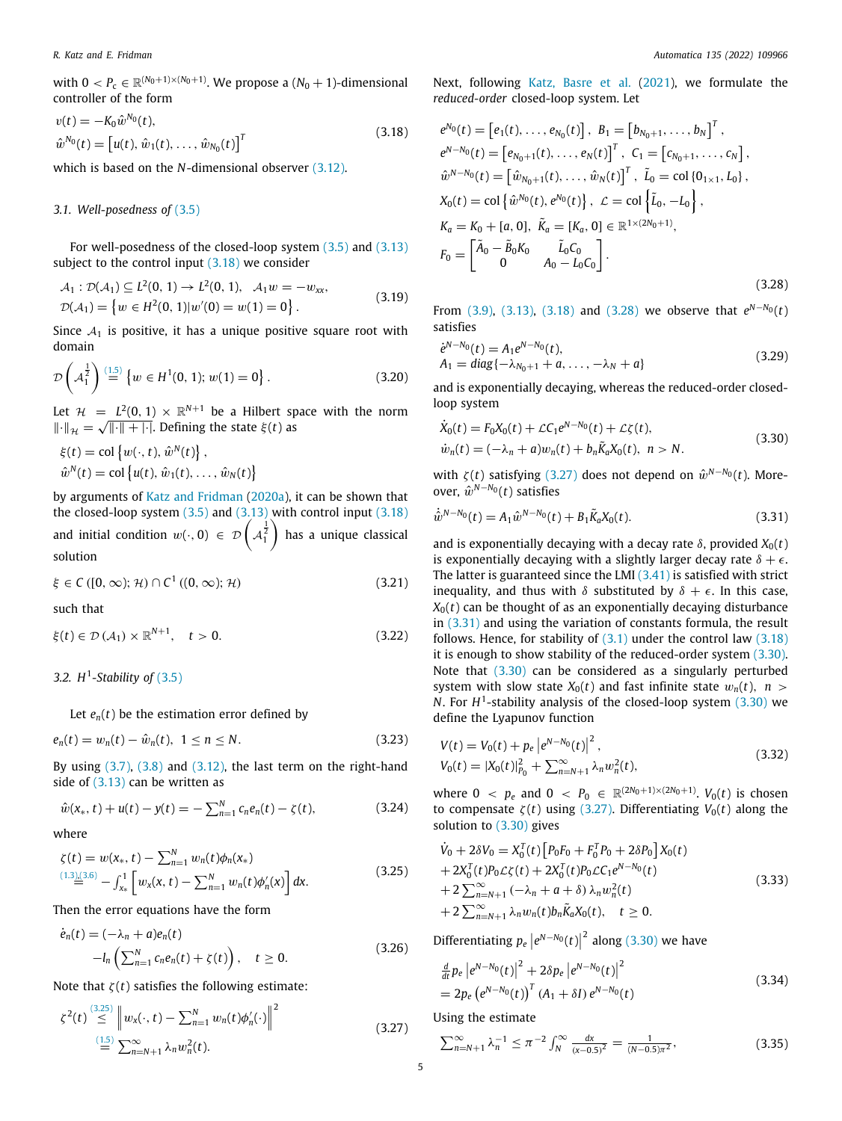*R. Katz and E. Fridman Automatica 135 (2022) 109966*

with  $0 < P_c \in \mathbb{R}^{(N_0+1)\times(N_0+1)}$ . We propose a  $(N_0+1)$ -dimensional controller of the form

$$
v(t) = -K_0 \hat{w}^{N_0}(t),
$$
  
\n
$$
\hat{w}^{N_0}(t) = [u(t), \hat{w}_1(t), \dots, \hat{w}_{N_0}(t)]^T
$$
\n(3.18)

which is based on the *N*-dimensional observer [\(3.12\)](#page-3-7).

## *3.1. Well-posedness of* ([3.5](#page-3-1))

For well-posedness of the closed-loop system ([3.5](#page-3-1)) and [\(3.13\)](#page-3-8) subject to the control input [\(3.18](#page-4-0)) we consider

$$
\mathcal{A}_1: \mathcal{D}(\mathcal{A}_1) \subseteq L^2(0, 1) \to L^2(0, 1), \quad \mathcal{A}_1 w = -w_{xx}, \n\mathcal{D}(\mathcal{A}_1) = \{w \in H^2(0, 1)|w'(0) = w(1) = 0\}.
$$
\n(3.19)

Since  $A_1$  is positive, it has a unique positive square root with domain

$$
\mathcal{D}\left(\mathcal{A}_1^{\frac{1}{2}}\right) \stackrel{(1.5)}{=} \{w \in H^1(0, 1); w(1) = 0\}.
$$
 (3.20)

Let  $\mathcal{H} = L^2(0, 1) \times \mathbb{R}^{N+1}$  be a Hilbert space with the norm  $\lVert \cdot \rVert_{\mathcal{H}} = \sqrt{\lVert \cdot \rVert + \lvert \cdot \rvert}$ . Defining the state  $\xi(t)$  as

$$
\xi(t) = \text{col}\left\{w(\cdot, t), \hat{w}^N(t)\right\},
$$
  

$$
\hat{w}^N(t) = \text{col}\left\{u(t), \hat{w}_1(t), \dots, \hat{w}_N(t)\right\}
$$

by arguments of [Katz and Fridman](#page-12-4) ([2020a](#page-12-4)), it can be shown that the closed-loop system  $(3.5)$  $(3.5)$  $(3.5)$  and  $(3.13)$  with control input  $(3.18)$ and initial condition  $w(\cdot, 0) \in \mathcal{D} \left( A_1^{\frac{1}{2}} \right)$ ) has a unique classical solution

$$
\xi \in C([0,\infty);\mathcal{H}) \cap C^1((0,\infty);\mathcal{H})
$$
\n(3.21)

such that

$$
\xi(t) \in \mathcal{D}\left(\mathcal{A}_1\right) \times \mathbb{R}^{N+1}, \quad t > 0. \tag{3.22}
$$

# *3.2. H*<sup>1</sup> *-Stability of* [\(3.5\)](#page-3-1)

Let  $e_n(t)$  be the estimation error defined by

$$
e_n(t) = w_n(t) - \hat{w}_n(t), \ \ 1 \le n \le N. \tag{3.23}
$$

By using  $(3.7)$  $(3.7)$  $(3.7)$ ,  $(3.8)$  $(3.8)$  $(3.8)$  and  $(3.12)$ , the last term on the right-hand side of  $(3.13)$  $(3.13)$  can be written as

$$
\hat{w}(x_*,t) + u(t) - y(t) = -\sum_{n=1}^{N} c_n e_n(t) - \zeta(t), \qquad (3.24)
$$

where

$$
\zeta(t) = w(x_*, t) - \sum_{n=1}^{N} w_n(t) \phi_n(x_*)
$$
  
\n
$$
\stackrel{(1.3),(3.6)}{=} - \int_{x_*}^1 \left[ w_x(x, t) - \sum_{n=1}^{N} w_n(t) \phi_n'(x) \right] dx.
$$
\n(3.25)

Then the error equations have the form

$$
\dot{e}_n(t) = (-\lambda_n + a)e_n(t)
$$
  
-
$$
-l_n\left(\sum_{n=1}^N c_ne_n(t) + \zeta(t)\right), \quad t \ge 0.
$$
 (3.26)

Note that  $\zeta(t)$  satisfies the following estimate:

$$
\zeta^{2}(t) \stackrel{\text{(3.25)}}{\leq} \left\| w_{x}(\cdot,t) - \sum_{n=1}^{N} w_{n}(t) \phi'_{n}(\cdot) \right\|^{2}
$$
\n(3.27)\n
$$
\stackrel{\text{(1.5)}}{=} \sum_{n=N+1}^{\infty} \lambda_{n} w_{n}^{2}(t).
$$

Next, following [Katz, Basre et al.](#page-12-18) [\(2021](#page-12-18)), we formulate the *reduced-order* closed-loop system. Let

<span id="page-4-0"></span>
$$
e^{N_0}(t) = [e_1(t), ..., e_{N_0}(t)], B_1 = [b_{N_0+1}, ..., b_N]^T,
$$
  
\n
$$
e^{N-N_0}(t) = [e_{N_0+1}(t), ..., e_N(t)]^T, C_1 = [c_{N_0+1}, ..., c_N],
$$
  
\n
$$
\hat{w}^{N-N_0}(t) = [\hat{w}_{N_0+1}(t), ..., \hat{w}_N(t)]^T, \tilde{L}_0 = \text{col}\{0_{1\times 1}, L_0\},
$$
  
\n
$$
X_0(t) = \text{col}\{\hat{w}^{N_0}(t), e^{N_0}(t)\}, \mathcal{L} = \text{col}\{\tilde{L}_0, -L_0\},
$$
  
\n
$$
K_a = K_0 + [a, 0], \tilde{K}_a = [K_a, 0] \in \mathbb{R}^{1 \times (2N_0+1)},
$$
  
\n
$$
F_0 = \begin{bmatrix} \tilde{A}_0 - \tilde{B}_0 K_0 & \tilde{L}_0 C_0 \\ 0 & A_0 - L_0 C_0 \end{bmatrix}.
$$
  
\n(3.28)

From [\(3.9\)](#page-3-5), [\(3.13](#page-3-8)), ([3.18](#page-4-0)) and [\(3.28\)](#page-4-2) we observe that  $e^{N-N_0}(t)$ satisfies

<span id="page-4-13"></span><span id="page-4-2"></span>
$$
\dot{e}^{N-N_0}(t) = A_1 e^{N-N_0}(t), \n A_1 = diag\{-\lambda_{N_0+1} + a, \dots, -\lambda_N + a\}
$$
\n(3.29)

and is exponentially decaying, whereas the reduced-order closedloop system

<span id="page-4-5"></span>
$$
\dot{X}_0(t) = F_0 X_0(t) + \mathcal{L}C_1 e^{N - N_0}(t) + \mathcal{L}\zeta(t),
$$
  
\n
$$
\dot{w}_n(t) = (-\lambda_n + a) w_n(t) + b_n \tilde{K}_a X_0(t), \quad n > N.
$$
\n(3.30)

with  $\zeta(t)$  satisfying [\(3.27](#page-4-3)) does not depend on  $\hat{w}^{N-N_0}(t)$ . Moreover,  $\hat{w}^{N-N_0}(t)$  satisfies

<span id="page-4-4"></span>
$$
\dot{\hat{w}}^{N-N_0}(t) = A_1 \hat{w}^{N-N_0}(t) + B_1 \tilde{K}_a X_0(t).
$$
\n(3.31)

<span id="page-4-10"></span>and is exponentially decaying with a decay rate  $\delta$ , provided  $X_0(t)$ is exponentially decaying with a slightly larger decay rate  $\delta + \epsilon$ . The latter is guaranteed since the LMI  $(3.41)$  $(3.41)$  is satisfied with strict inequality, and thus with  $\delta$  substituted by  $\delta + \epsilon$ . In this case,  $X<sub>0</sub>(t)$  can be thought of as an exponentially decaying disturbance in [\(3.31](#page-4-4)) and using the variation of constants formula, the result follows. Hence, for stability of  $(3.1)$  under the control law  $(3.18)$ it is enough to show stability of the reduced-order system [\(3.30\)](#page-4-5). Note that ([3.30](#page-4-5)) can be considered as a singularly perturbed system with slow state  $X_0(t)$  and fast infinite state  $w_n(t)$ ,  $n >$ *N*. For  $H^1$ -stability analysis of the closed-loop system  $(3.30)$  we define the Lyapunov function

<span id="page-4-11"></span><span id="page-4-9"></span>
$$
V(t) = V_0(t) + p_e \left| e^{N - N_0(t)} \right|^2,
$$
  
\n
$$
V_0(t) = |X_0(t)|_{P_0}^2 + \sum_{n=N+1}^{\infty} \lambda_n w_n^2(t),
$$
\n(3.32)

<span id="page-4-12"></span>where  $0 \, < \, p_e$  and  $0 \, < \, P_0 \, \in \, \mathbb{R}^{(2N_0+1)\times(2N_0+1)}$ .  $V_0(t)$  is chosen to compensate  $ζ(t)$  using ([3.27](#page-4-3)). Differentiating  $V_0(t)$  along the solution to [\(3.30](#page-4-5)) gives

<span id="page-4-1"></span>
$$
\dot{V}_0 + 2\delta V_0 = X_0^T(t) \left[ P_0 F_0 + F_0^T P_0 + 2\delta P_0 \right] X_0(t) \n+ 2X_0^T(t) P_0 \mathcal{L} \zeta(t) + 2X_0^T(t) P_0 \mathcal{L} C_1 e^{N - N_0}(t) \n+ 2 \sum_{n=N+1}^{\infty} (-\lambda_n + a + \delta) \lambda_n w_n^2(t) \n+ 2 \sum_{n=N+1}^{\infty} \lambda_n w_n(t) b_n \tilde{K}_a X_0(t), \quad t \ge 0.
$$
\n(3.33)

Differentiating  $p_e \left| e^{N-N_0}(t) \right|^2$  along ([3.30](#page-4-5)) we have

<span id="page-4-8"></span>
$$
\frac{d}{dt} p_e \left| e^{N - N_0}(t) \right|^2 + 2 \delta p_e \left| e^{N - N_0}(t) \right|^2
$$
\n
$$
= 2 p_e \left( e^{N - N_0}(t) \right)^T (A_1 + \delta I) e^{N - N_0}(t)
$$
\n(3.34)

<span id="page-4-3"></span>Using the estimate

<span id="page-4-6"></span>
$$
\sum_{n=N+1}^{\infty} \lambda_n^{-1} \le \pi^{-2} \int_N^{\infty} \frac{dx}{(x-0.5)^2} = \frac{1}{(N-0.5)\pi^2},
$$
\n(3.35)

<span id="page-4-7"></span>*V*˙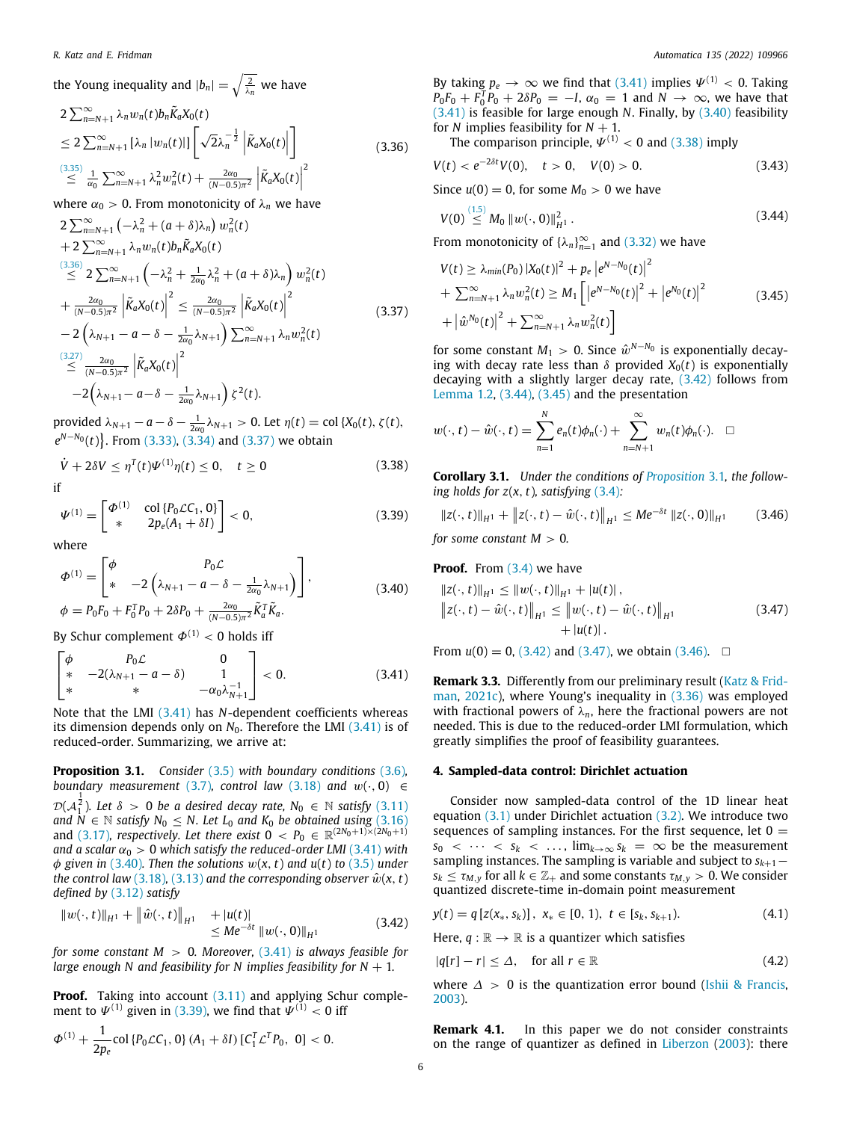the Young inequality and 
$$
|b_n| = \sqrt{\frac{2}{\lambda_n}}
$$
 we have  
\n
$$
2 \sum_{n=N+1}^{\infty} \lambda_n w_n(t) b_n \tilde{K}_a X_0(t)
$$
\n
$$
\leq 2 \sum_{n=N+1}^{\infty} |\lambda_n| w_n(t) || \left[ \sqrt{2} \lambda_n^{-\frac{1}{2}} \left| \tilde{K}_a X_0(t) \right| \right]
$$
\n
$$
\leq \frac{(3.35)}{\alpha_0} \sum_{n=N+1}^{\infty} \lambda_n^2 w_n^2(t) + \frac{2\alpha_0}{(N-0.5)\pi^2} \left| \tilde{K}_a X_0(t) \right|^2
$$
\n(3.36)

where  $\alpha_0 > 0$ . From monotonicity of  $\lambda_n$  we have

$$
2 \sum_{n=N+1}^{\infty} \left( -\lambda_n^2 + (a + \delta)\lambda_n \right) w_n^2(t) + 2 \sum_{n=N+1}^{\infty} \lambda_n w_n(t) b_n \tilde{K}_a X_0(t) \n\stackrel{(3.36)}{\leq} 2 \sum_{n=N+1}^{\infty} \left( -\lambda_n^2 + \frac{1}{2\alpha_0} \lambda_n^2 + (a + \delta)\lambda_n \right) w_n^2(t) + \frac{2\alpha_0}{(N-0.5)\pi^2} \left| \tilde{K}_a X_0(t) \right|^2 \leq \frac{2\alpha_0}{(N-0.5)\pi^2} \left| \tilde{K}_a X_0(t) \right|^2 - 2 \left( \lambda_{N+1} - a - \delta - \frac{1}{2\alpha_0} \lambda_{N+1} \right) \sum_{n=N+1}^{\infty} \lambda_n w_n^2(t) \n\stackrel{(3.27)}{\leq} \frac{2\alpha_0}{(N-0.5)\pi^2} \left| \tilde{K}_a X_0(t) \right|^2 - 2 \left( \lambda_{N+1} - a - \delta - \frac{1}{2\alpha_0} \lambda_{N+1} \right) \zeta^2(t).
$$

 $\text{provided } \lambda_{N+1} - a - \delta - \frac{1}{2\alpha_0} \lambda_{N+1} > 0.$  Let  $η(t) = \text{col } \{X_0(t), \zeta(t),\}$ *e*<sup>*N*−*N*<sub>0</sub></sup>(*t*). From [\(3.33\)](#page-4-7), [\(3.34\)](#page-4-8) and ([3.37](#page-5-3)) we obtain

$$
\dot{V} + 2\delta V \le \eta^{T}(t)\Psi^{(1)}\eta(t) \le 0, \quad t \ge 0
$$
\n(3.38)

$$
\Psi^{(1)} = \begin{bmatrix} \Phi^{(1)} & \text{col}\{P_0 \mathcal{L} C_1, 0\} \\ * & 2p_e(A_1 + \delta I) \end{bmatrix} < 0,
$$
\n(3.39)

where

$$
\Phi^{(1)} = \begin{bmatrix} \phi & P_0 \mathcal{L} \\ * & -2 \left( \lambda_{N+1} - a - \delta - \frac{1}{2\alpha_0} \lambda_{N+1} \right) \end{bmatrix},
$$
\n
$$
\phi = P_0 F_0 + F_0^T P_0 + 2\delta P_0 + \frac{2\alpha_0}{(N-0.5)\pi^2} \tilde{K}_a^T \tilde{K}_a.
$$
\n(3.40)

By Schur complement  $\Phi^{(1)}$  < 0 holds iff

$$
\begin{bmatrix}\n\phi & P_0 \mathcal{L} & 0 \\
* & -2(\lambda_{N+1} - a - \delta) & 1 \\
* & * & -\alpha_0 \lambda_{N+1}^{-1}\n\end{bmatrix} < 0.
$$
\n(3.41)

Note that the LMI [\(3.41\)](#page-5-2) has *N*-dependent coefficients whereas its dimension depends only on  $N_0$ . Therefore the LMI  $(3.41)$  $(3.41)$  $(3.41)$  is of reduced-order. Summarizing, we arrive at:

**Proposition 3.1.** *Consider* ([3.5](#page-3-1)) *with boundary conditions* [\(3.6\)](#page-3-10)*, boundary measurement* ([3.7](#page-3-2)), control law ([3.18\)](#page-4-0) and  $w(\cdot, 0) \in$  $\mathcal{D}( \mathcal{A}_1^{\frac{1}{2}} )$ . Let  $\delta \, > \, 0$  be a desired decay rate,  $N_0 \, \in \, \mathbb{N}$  satisfy  $(3.11)$ *and*  $N \in \mathbb{N}$  *satisfy*  $N_0 \le N$ . Let  $L_0$  *and*  $K_0$  *be obtained using* [\(3.16\)](#page-3-12) and [\(3.17\)](#page-3-13)*, respectively. Let there exist*  $0 \, < P_0 \, \in \, \mathbb{R}^{(2N_0+1)\times(2N_0+1)}$ *and a scalar*  $\alpha_0 > 0$  *which satisfy the reduced-order LMI* [\(3.41\)](#page-5-2) *with* φ *given in* [\(3.40\)](#page-5-4)*. Then the solutions* w(*x*, *t*) *and u*(*t*) *to* ([3.5\)](#page-3-1) *under the control law* ([3.18](#page-4-0)), [\(3.13\)](#page-3-8) and the corresponding observer  $\hat{w}(x, t)$ *defined by* ([3.12](#page-3-7)) *satisfy*

$$
||w(\cdot, t)||_{H^1} + ||\hat{w}(\cdot, t)||_{H^1} + |u(t)| \le Me^{-\delta t} ||w(\cdot, 0)||_{H^1}
$$
 (3.42)

*for some constant M* > 0*. Moreover,* [\(3.41\)](#page-5-2) *is always feasible for large enough N and feasibility for N implies feasibility for*  $N + 1$ *.* 

**Proof.** Taking into account ([3.11](#page-3-11)) and applying Schur complement to  $\varPsi^{(1)}$  given in ([3.39](#page-5-5)), we find that  $\varPsi^{(1)} < 0$  iff

$$
\Phi^{(1)} + \frac{1}{2p_e} \text{col} \{ P_0 \mathcal{L} C_1, 0 \} \, (A_1 + \delta I) \, [C_1^T \mathcal{L}^T P_0, 0] < 0.
$$

By taking  $p_e \to \infty$  we find that [\(3.41\)](#page-5-2) implies  $\Psi^{(1)} < 0$ . Taking  $P_0F_0 + F_0^T P_0 + 2\delta P_0 = -I$ ,  $\alpha_0 = 1$  and  $N \rightarrow \infty$ , we have that ([3.41](#page-5-2)) is feasible for large enough *N*. Finally, by ([3.40](#page-5-4)) feasibility for *N* implies feasibility for  $N + 1$ .

The comparison principle,  $\Psi^{(1)} < 0$  and ([3.38](#page-5-6)) imply

<span id="page-5-1"></span>
$$
V(t) < e^{-2\delta t} V(0), \quad t > 0, \quad V(0) > 0. \tag{3.43}
$$

Since  $u(0) = 0$ , for some  $M_0 > 0$  we have

<span id="page-5-8"></span>
$$
V(0) \stackrel{(1.5)}{\leq} M_0 \|w(\cdot, 0)\|_{H^1}^2. \tag{3.44}
$$

From monotonicity of  $\{\lambda_n\}_{n=1}^{\infty}$  and ([3.32](#page-4-9)) we have

<span id="page-5-9"></span>
$$
V(t) \geq \lambda_{min}(P_0) |X_0(t)|^2 + p_e |e^{N - N_0(t)}|^2
$$
  
+ 
$$
\sum_{n=N+1}^{\infty} \lambda_n w_n^2(t) \geq M_1 \left[ |e^{N - N_0}(t)|^2 + |e^{N_0}(t)|^2 + |\hat{e}^{N_0}(t)|^2 + |\hat{w}^{N_0}(t)|^2 + \sum_{n=N+1}^{\infty} \lambda_n w_n^2(t) \right]
$$
(3.45)

<span id="page-5-3"></span>for some constant  $M_1 > 0$ . Since  $\hat{w}^{N-N_0}$  is exponentially decaying with decay rate less than  $\delta$  provided  $X_0(t)$  is exponentially decaying with a slightly larger decay rate, ([3.42](#page-5-7)) follows from [Lemma](#page-1-5) [1.2](#page-1-5), ([3.44](#page-5-8)), [\(3.45](#page-5-9)) and the presentation

$$
w(\cdot,t)-\hat{w}(\cdot,t)=\sum_{n=1}^N e_n(t)\phi_n(\cdot)+\sum_{n=N+1}^\infty w_n(t)\phi_n(\cdot). \quad \Box
$$

<span id="page-5-6"></span>**Corollary 3.1.** *Under the conditions of [Proposition](#page-5-10)* [3.1](#page-5-10)*, the following holds for*  $z(x, t)$ *, satisfying* ([3.4](#page-3-14))*:* 

<span id="page-5-12"></span><span id="page-5-5"></span>
$$
||z(\cdot,t)||_{H^1} + ||z(\cdot,t) - \hat{w}(\cdot,t)||_{H^1} \le Me^{-\delta t} ||z(\cdot,0)||_{H^1}
$$
 (3.46)

*for some constant*  $M > 0$ *.* 

<span id="page-5-4"></span>**Proof.** From [\(3.4\)](#page-3-14) we have

<span id="page-5-11"></span>
$$
||z(\cdot, t)||_{H^1} \le ||w(\cdot, t)||_{H^1} + |u(t)|,
$$
  
\n
$$
||z(\cdot, t) - \hat{w}(\cdot, t)||_{H^1} \le ||w(\cdot, t) - \hat{w}(\cdot, t)||_{H^1}
$$
  
\n
$$
+ |u(t)|.
$$
\n(3.47)

From  $u(0) = 0$ , [\(3.42\)](#page-5-7) and [\(3.47\)](#page-5-11), we obtain ([3.46](#page-5-12)).  $\square$ 

<span id="page-5-2"></span>**Remark 3.3.** Differently from our preliminary result [\(Katz & Frid](#page-12-20)[man,](#page-12-20) [2021c](#page-12-20)), where Young's inequality in [\(3.36](#page-5-1)) was employed with fractional powers of  $\lambda_n$ , here the fractional powers are not needed. This is due to the reduced-order LMI formulation, which greatly simplifies the proof of feasibility guarantees.

## <span id="page-5-10"></span>**4. Sampled-data control: Dirichlet actuation**

<span id="page-5-0"></span>Consider now sampled-data control of the 1D linear heat equation [\(3.1\)](#page-3-3) under Dirichlet actuation ([3.2](#page-3-4)). We introduce two sequences of sampling instances. For the first sequence, let  $0 =$  $s_0 < \cdots < s_k < \dots$ ,  $\lim_{k \to \infty} s_k = \infty$  be the measurement sampling instances. The sampling is variable and subject to *sk*+1−  $s_k \leq \tau_{M,y}$  for all  $k \in \mathbb{Z}_+$  and some constants  $\tau_{M,y} > 0$ . We consider quantized discrete-time in-domain point measurement

<span id="page-5-14"></span><span id="page-5-7"></span>
$$
y(t) = q [z(x_*, s_k)], \; x_* \in [0, 1), \; t \in [s_k, s_{k+1}). \tag{4.1}
$$

Here,  $q : \mathbb{R} \to \mathbb{R}$  is a quantizer which satisfies

<span id="page-5-13"></span>
$$
|q[r] - r| \le \Delta, \quad \text{for all } r \in \mathbb{R} \tag{4.2}
$$

where  $\Delta > 0$  is the quantization error bound [\(Ishii & Francis,](#page-12-24) [2003\)](#page-12-24).

**Remark 4.1.** In this paper we do not consider constraints on the range of quantizer as defined in [Liberzon](#page-13-15) ([2003\)](#page-13-15): there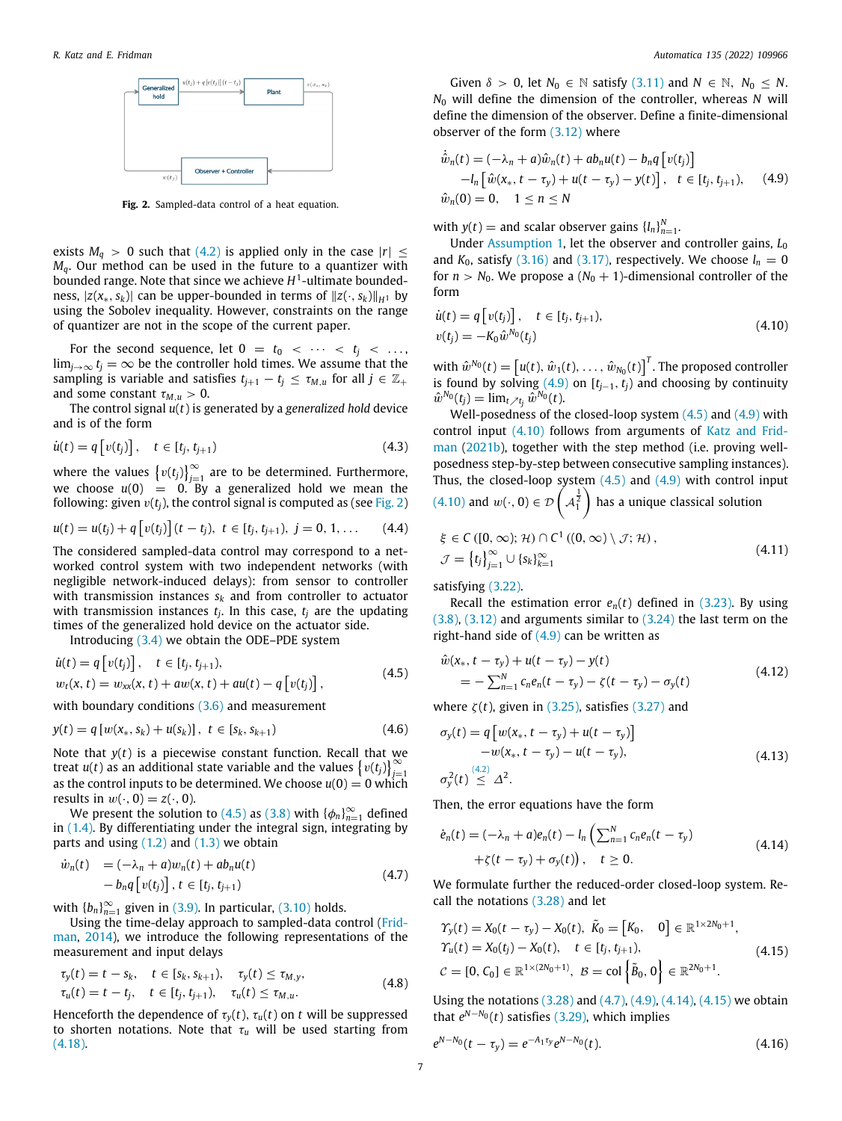

**Fig. 2.** Sampled-data control of a heat equation.

<span id="page-6-0"></span>exists  $M_q > 0$  such that [\(4.2\)](#page-5-13) is applied only in the case  $|r| \leq$ *Mq*. Our method can be used in the future to a quantizer with bounded range. Note that since we achieve *H* 1 -ultimate boundedness,  $|z(x_*, s_k)|$  can be upper-bounded in terms of  $||z(\cdot, s_k)||_{H^1}$  by using the Sobolev inequality. However, constraints on the range of quantizer are not in the scope of the current paper.

For the second sequence, let  $0 = t_0 < \cdots < t_j < \cdots$ lim<sub>*j*→∞</sub> *t<sub>j</sub>* = ∞ be the controller hold times. We assume that the sampling is variable and satisfies  $t_{j+1} - t_j \leq \tau_{M,u}$  for all  $j \in \mathbb{Z}_+$ and some constant  $\tau_{M,u} > 0$ .

The control signal *u*(*t*) is generated by a *generalized hold* device and is of the form

$$
\dot{u}(t) = q \left[ v(t_j) \right], \quad t \in [t_j, t_{j+1}) \tag{4.3}
$$

where the values  $\left\{v(t_j)\right\}_{j=1}^{\infty}$  are to be determined. Furthermore, we choose  $u(0) = 0$ . By a generalized hold we mean the following: given  $v(t_i)$ , the control signal is computed as (see [Fig.](#page-6-0) [2\)](#page-6-0)

$$
u(t) = u(t_j) + q[v(t_j)](t - t_j), t \in [t_j, t_{j+1}), j = 0, 1, ... \qquad (4.4)
$$

The considered sampled-data control may correspond to a networked control system with two independent networks (with negligible network-induced delays): from sensor to controller with transmission instances *s<sup>k</sup>* and from controller to actuator with transmission instances *t<sup>j</sup>* . In this case, *t<sup>j</sup>* are the updating times of the generalized hold device on the actuator side.

Introducing [\(3.4\)](#page-3-14) we obtain the ODE–PDE system

$$
\dot{u}(t) = q[v(t_j)], \quad t \in [t_j, t_{j+1}),\n w_t(x, t) = w_{xx}(x, t) + aw(x, t) + au(t) - q[v(t_j)],
$$
\n(4.5)

with boundary conditions [\(3.6](#page-3-10)) and measurement

$$
y(t) = q [w(x_*, s_k) + u(s_k)], \ t \in [s_k, s_{k+1})
$$
\n(4.6)

Note that *y*(*t*) is a piecewise constant function. Recall that we treat *u*(*t*) as an additional state variable and the values  $\{v(t_j)\}_{j=1}^{\infty}$ as the control inputs to be determined. We choose  $u(0) = 0$  which results in  $w(\cdot, 0) = z(\cdot, 0)$ .

We present the solution to ([4.5](#page-6-1)) as ([3.8](#page-3-9)) with  $\{\phi_n\}_{n=1}^\infty$  defined in [\(1.4\)](#page-1-1). By differentiating under the integral sign, integrating by parts and using  $(1.2)$  and  $(1.3)$  $(1.3)$  $(1.3)$  we obtain

$$
\dot{w}_n(t) = (-\lambda_n + a)w_n(t) + ab_n u(t)
$$
  
\n
$$
-b_n q[v(t_j)], t \in [t_j, t_{j+1})
$$
\n(4.7)

with  ${b_n}_{n=1}^{\infty}$  given in [\(3.9\)](#page-3-5). In particular, [\(3.10\)](#page-3-15) holds.

Using the time-delay approach to sampled-data control [\(Frid](#page-12-25)[man,](#page-12-25) [2014\)](#page-12-25), we introduce the following representations of the measurement and input delays

$$
\tau_{y}(t) = t - s_{k}, \quad t \in [s_{k}, s_{k+1}), \quad \tau_{y}(t) \leq \tau_{M, y}, \tau_{u}(t) = t - t_{j}, \quad t \in [t_{j}, t_{j+1}), \quad \tau_{u}(t) \leq \tau_{M, u}.
$$
\n(4.8)

Henceforth the dependence of  $\tau_y(t)$ ,  $\tau_u(t)$  on *t* will be suppressed to shorten notations. Note that  $\tau_u$  will be used starting from ([4.18](#page-7-2)).

Given  $\delta > 0$ , let  $N_0 \in \mathbb{N}$  satisfy [\(3.11\)](#page-3-11) and  $N \in \mathbb{N}$ ,  $N_0 \le N$ . *N*<sup>0</sup> will define the dimension of the controller, whereas *N* will define the dimension of the observer. Define a finite-dimensional observer of the form [\(3.12\)](#page-3-7) where

<span id="page-6-2"></span>
$$
\begin{aligned}\n\dot{\hat{w}}_n(t) &= (-\lambda_n + a)\hat{w}_n(t) + ab_n u(t) - b_n q \left[ v(t_j) \right] \\
&- l_n \left[ \hat{w}(x_*, t - \tau_y) + u(t - \tau_y) - y(t) \right], \quad t \in [t_j, t_{j+1}), \quad (4.9) \\
\hat{w}_n(0) &= 0, \quad 1 \le n \le N\n\end{aligned}
$$

with  $y(t) =$  and scalar observer gains  $\{l_n\}_{n=1}^N$ .

Under [Assumption](#page-3-6) [1,](#page-3-6) let the observer and controller gains, *L*<sup>0</sup> and  $K_0$ , satisfy ([3.16\)](#page-3-12) and [\(3.17\)](#page-3-13), respectively. We choose  $l_n = 0$ for  $n > N_0$ . We propose a  $(N_0 + 1)$ -dimensional controller of the form

<span id="page-6-3"></span>
$$
\dot{u}(t) = q[v(t_j)], \quad t \in [t_j, t_{j+1}), \n v(t_j) = -K_0 \hat{w}^{N_0}(t_j)
$$
\n(4.10)

with  $\hat{w}^{N_0}(t) = [u(t), \hat{w}_1(t), \dots, \hat{w}_{N_0}(t)]^T$ . The proposed controller is found by solving  $(4.9)$  $(4.9)$  $(4.9)$  on  $[t_{j-1}, t_j]$  and choosing by continuity  $\hat{w}^{N_0}(t_j) = \lim_{t \nearrow t_j} \hat{w}^{N_0}(t).$ 

<span id="page-6-11"></span>Well-posedness of the closed-loop system  $(4.5)$  and  $(4.9)$  $(4.9)$  $(4.9)$  with control input ([4.10\)](#page-6-3) follows from arguments of [Katz and Frid](#page-12-5)[man](#page-12-5) [\(2021b](#page-12-5)), together with the step method (i.e. proving wellposedness step-by-step between consecutive sampling instances). Thus, the closed-loop system  $(4.5)$  $(4.5)$  $(4.5)$  and  $(4.9)$  $(4.9)$  $(4.9)$  with control input  $(4.10)$  $(4.10)$  $(4.10)$  and  $w(\cdot, 0) \in \mathcal{D}\left(\mathcal{A}_1^{\frac{1}{2}}\right)$ ) has a unique classical solution

$$
\xi \in C([0,\infty);\mathcal{H}) \cap C^1((0,\infty) \setminus \mathcal{J};\mathcal{H}),
$$
  

$$
\mathcal{J} = \{t_j\}_{j=1}^{\infty} \cup \{s_k\}_{k=1}^{\infty}
$$
 (4.11)

satisfying [\(3.22](#page-4-10)).

Recall the estimation error  $e_n(t)$  defined in  $(3.23)$ . By using ([3.8](#page-3-9)), [\(3.12](#page-3-7)) and arguments similar to ([3.24](#page-4-12)) the last term on the right-hand side of  $(4.9)$  can be written as

<span id="page-6-12"></span><span id="page-6-1"></span>
$$
\hat{w}(x_*, t - \tau_y) + u(t - \tau_y) - y(t) \n= -\sum_{n=1}^{N} c_n e_n (t - \tau_y) - \zeta(t - \tau_y) - \sigma_y(t)
$$
\n(4.12)

where  $\zeta(t)$ , given in [\(3.25\)](#page-4-1), satisfies ([3.27](#page-4-3)) and

<span id="page-6-10"></span><span id="page-6-9"></span>
$$
\sigma_y(t) = q \left[ w(x_*, t - \tau_y) + u(t - \tau_y) \right] \n- w(x_*, t - \tau_y) - u(t - \tau_y), \n\sigma_y^2(t) \leq \Delta^2.
$$
\n(4.13)

Then, the error equations have the form

<span id="page-6-5"></span>
$$
\dot{e}_n(t) = (-\lambda_n + a)e_n(t) - l_n \left( \sum_{n=1}^N c_n e_n(t - \tau_y) + \zeta(t - \tau_y) + \sigma_y(t) \right), \quad t \ge 0.
$$
\n(4.14)

<span id="page-6-4"></span>We formulate further the reduced-order closed-loop system. Recall the notations ([3.28](#page-4-2)) and let

<span id="page-6-6"></span>
$$
\begin{aligned} \Upsilon_{\mathbf{y}}(t) &= X_0(t - \tau_{\mathbf{y}}) - X_0(t), \ \tilde{K}_0 = \begin{bmatrix} K_0, & 0 \end{bmatrix} \in \mathbb{R}^{1 \times 2N_0 + 1}, \\ \Upsilon_{\mathbf{u}}(t) &= X_0(t_j) - X_0(t), \quad t \in [t_j, t_{j+1}), \\ \mathcal{C} &= [0, C_0] \in \mathbb{R}^{1 \times (2N_0 + 1)}, \ \mathcal{B} = \text{col}\left\{\tilde{B}_0, 0\right\} \in \mathbb{R}^{2N_0 + 1}. \end{aligned} \tag{4.15}
$$

<span id="page-6-8"></span>Using the notations  $(3.28)$  $(3.28)$  and  $(4.7)$  $(4.7)$  $(4.7)$ ,  $(4.9)$  $(4.9)$  $(4.9)$ ,  $(4.14)$ ,  $(4.15)$  $(4.15)$  $(4.15)$  we obtain that  $e^{N-N_0}(t)$  satisfies [\(3.29\)](#page-4-13), which implies

<span id="page-6-7"></span>
$$
e^{N-N_0}(t-\tau_y) = e^{-A_1\tau_y}e^{N-N_0}(t). \tag{4.16}
$$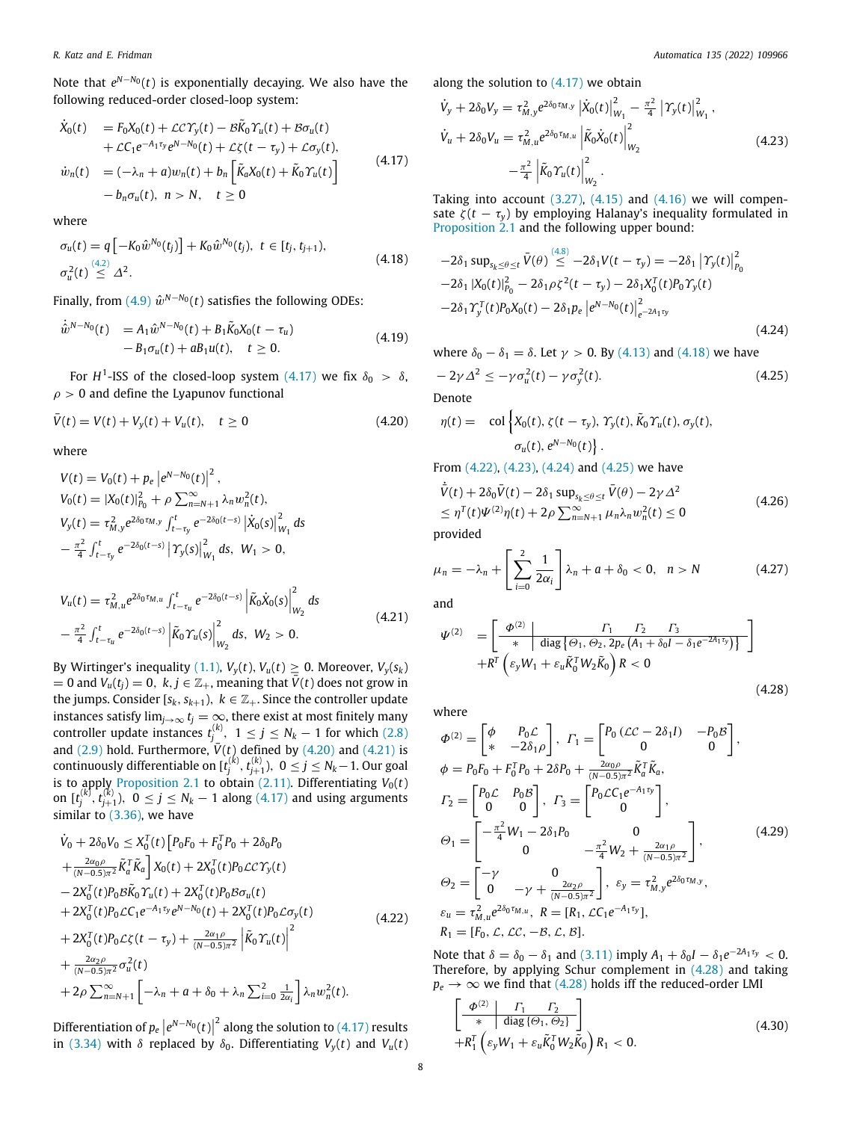Note that *e <sup>N</sup>*−*N*<sup>0</sup> (*t*) is exponentially decaying. We also have the following reduced-order closed-loop system:

$$
\dot{X}_0(t) = F_0 X_0(t) + \mathcal{L} C \Upsilon_y(t) - \mathcal{B} \tilde{K}_0 \Upsilon_u(t) + \mathcal{B} \sigma_u(t) \n+ \mathcal{L} C_1 e^{-A_1 \tau_y} e^{N - N_0}(t) + \mathcal{L} \zeta(t - \tau_y) + \mathcal{L} \sigma_y(t), \n\dot{w}_n(t) = (-\lambda_n + a) w_n(t) + b_n \left[ \tilde{K}_a X_0(t) + \tilde{K}_0 \Upsilon_u(t) \right] \n- b_n \sigma_u(t), \quad n > N, \quad t \ge 0
$$
\n(4.17)

where

$$
\sigma_u(t) = q \left[ -K_0 \hat{w}^{N_0}(t_j) \right] + K_0 \hat{w}^{N_0}(t_j), \ t \in [t_j, t_{j+1}),
$$
\n
$$
\sigma_u^2(t) \stackrel{(4.2)}{\leq} \Delta^2.
$$
\n(4.18)

Finally, from  $(4.9)$   $\hat{w}^{N-N_0}(t)$  satisfies the following ODEs:

$$
\dot{\hat{w}}^{N-N_0}(t) = A_1 \hat{w}^{N-N_0}(t) + B_1 \tilde{K}_0 X_0 (t - \tau_u) - B_1 \sigma_u(t) + a B_1 u(t), \quad t \ge 0.
$$
\n(4.19)

For  $H^1$ -ISS of the closed-loop system  $(4.17)$  we fix  $\delta_0 > \delta$ ,  $\rho > 0$  and define the Lyapunov functional

 $\bar{V}(t) = V(t) + V_v(t) + V_u(t), \quad t \ge 0$ (4.20)

where

$$
V(t) = V_0(t) + p_e \left| e^{N - N_0}(t) \right|^2,
$$
  
\n
$$
V_0(t) = |X_0(t)|_{P_0}^2 + \rho \sum_{n=N+1}^{\infty} \lambda_n w_n^2(t),
$$
  
\n
$$
V_y(t) = \tau_{M,y}^2 e^{2\delta_0 \tau_{M,y}} \int_{t-\tau_y}^t e^{-2\delta_0(t-s)} \left| \dot{X}_0(s) \right|_{W_1}^2 ds
$$
  
\n
$$
-\frac{\pi^2}{4} \int_{t-\tau_y}^t e^{-2\delta_0(t-s)} \left| \Upsilon_y(s) \right|_{W_1}^2 ds, \quad W_1 > 0,
$$

$$
V_{u}(t) = \tau_{M,u}^{2} e^{2\delta_{0}\tau_{M,u}} \int_{t-\tau_{u}}^{t} e^{-2\delta_{0}(t-s)} \left| \tilde{K}_{0} \dot{X}_{0}(s) \right|_{W_{2}}^{2} ds - \frac{\pi^{2}}{4} \int_{t-\tau_{u}}^{t} e^{-2\delta_{0}(t-s)} \left| \tilde{K}_{0} \Upsilon_{u}(s) \right|_{W_{2}}^{2} ds, \quad W_{2} > 0.
$$
\n(4.21)

By Wirtinger's inequality ([1.1](#page-1-6)),  $V_y(t)$ ,  $V_u(t) \ge 0$ . Moreover,  $V_y(s_k)$  $= 0$  and  $V_u(t_j) = 0$ ,  $k, j \in \mathbb{Z}_+$ , meaning that  $\bar{V}(t)$  does not grow in the jumps. Consider  $[s_k, s_{k+1}), k \in \mathbb{Z}_+$ . Since the controller update instances satisfy  $\lim_{j\to\infty} t_j = \infty$ , there exist at most finitely many controller update instances  $t_j^{(k)}$ ,  $1 \le j \le N_k - 1$  for which [\(2.8\)](#page-2-9) and  $(2.9)$  $(2.9)$  $(2.9)$  hold. Furthermore,  $\bar{V}(t)$  defined by  $(4.20)$  and  $(4.21)$  $(4.21)$  is  $\text{continuously differentiable on } [\mathfrak{t}_{j}^{(k)},\mathfrak{t}_{j+1}^{(k)}),\;0\leq j\leq N_{k}-1.\text{ Our goal}$ is to apply [Proposition](#page-2-7) [2.1](#page-2-7) to obtain  $(2.11)$  $(2.11)$ . Differentiating  $V_0(t)$ on  $[t_j^{(k)}, t_{j+1}^{(k)}), 0 \le j \le N_k - 1$  along [\(4.17\)](#page-7-1) and using arguments similar to ([3.36\)](#page-5-1), we have

$$
\dot{V}_{0} + 2\delta_{0}V_{0} \leq X_{0}^{T}(t) \left[ P_{0}F_{0} + F_{0}^{T}P_{0} + 2\delta_{0}P_{0} \right.\n+ \frac{2\alpha_{0}\rho}{(N-0.5)\pi^{2}} \tilde{K}_{a}^{T} \tilde{K}_{a} \right] X_{0}(t) + 2X_{0}^{T}(t) P_{0} \mathcal{L} \mathcal{C} \Upsilon_{y}(t)\n- 2X_{0}^{T}(t) P_{0} \mathcal{B} \tilde{K}_{0} \Upsilon_{u}(t) + 2X_{0}^{T}(t) P_{0} \mathcal{B} \sigma_{u}(t)\n+ 2X_{0}^{T}(t) P_{0} \mathcal{L} \mathcal{C}_{1} e^{-A_{1} \tau_{y}} e^{N-N_{0}}(t) + 2X_{0}^{T}(t) P_{0} \mathcal{L} \sigma_{y}(t)\n+ 2X_{0}^{T}(t) P_{0} \mathcal{L} \zeta(t - \tau_{y}) + \frac{2\alpha_{1}\rho}{(N-0.5)\pi^{2}} \left| \tilde{K}_{0} \Upsilon_{u}(t) \right|^{2}\n+ \frac{2\alpha_{2}\rho}{(N-0.5)\pi^{2}} \sigma_{u}^{2}(t)\n+ 2\rho \sum_{n=N+1}^{\infty} \left[ -\lambda_{n} + a + \delta_{0} + \lambda_{n} \sum_{i=0}^{2} \frac{1}{2\alpha_{i}} \right] \lambda_{n} w_{n}^{2}(t).
$$
\n(4.22)

Differentiation of  $p_e\left|e^{N-N_0}(t)\right|^2$  along the solution to ([4.17\)](#page-7-1) results in [\(3.34\)](#page-4-8) with  $\delta$  replaced by  $\delta_0$ . Differentiating  $V_y(t)$  and  $V_u(t)$  along the solution to  $(4.17)$  $(4.17)$  we obtain

<span id="page-7-5"></span>
$$
\dot{V}_{y} + 2\delta_{0}V_{y} = \tau_{M,y}^{2} e^{2\delta_{0}\tau_{M,y}} \left| \dot{X}_{0}(t) \right|_{W_{1}}^{2} - \frac{\pi^{2}}{4} \left| \Upsilon_{y}(t) \right|_{W_{1}}^{2},
$$
\n
$$
\dot{V}_{u} + 2\delta_{0}V_{u} = \tau_{M,u}^{2} e^{2\delta_{0}\tau_{M,u}} \left| \tilde{K}_{0}\dot{X}_{0}(t) \right|_{W_{2}}^{2}
$$
\n
$$
- \frac{\pi^{2}}{4} \left| \tilde{K}_{0}\Upsilon_{u}(t) \right|_{W_{2}}^{2}.
$$
\n(4.23)

<span id="page-7-1"></span>Taking into account  $(3.27)$  $(3.27)$  $(3.27)$ ,  $(4.15)$  $(4.15)$  and  $(4.16)$  $(4.16)$  $(4.16)$  we will compensate  $\zeta(t - \tau_y)$  by employing Halanay's inequality formulated in [Proposition](#page-2-7) [2.1](#page-2-7) and the following upper bound:

<span id="page-7-2"></span>
$$
-2\delta_1 \sup_{s_k \le \theta \le t} \bar{V}(\theta) \stackrel{(4.8)}{\le} -2\delta_1 V(t - \tau_y) = -2\delta_1 |\gamma_y(t)|_{P_0}^2 -2\delta_1 |X_0(t)|_{P_0}^2 - 2\delta_1 \rho \zeta^2 (t - \tau_y) - 2\delta_1 X_0^T(t) P_0 \gamma_y(t) -2\delta_1 \gamma_y^T(t) P_0 X_0(t) - 2\delta_1 p_e |e^{N - N_0(t)}|_{e^{-2A_1\tau_y}}^2
$$
\n(4.24)

<span id="page-7-10"></span>where  $\delta_0 - \delta_1 = \delta$ . Let  $\gamma > 0$ . By [\(4.13\)](#page-6-9) and ([4.18](#page-7-2)) we have

<span id="page-7-6"></span>
$$
-2\gamma \Delta^2 \le -\gamma \sigma_u^2(t) - \gamma \sigma_y^2(t). \tag{4.25}
$$

<span id="page-7-0"></span>Denote

 $\cdot$ 

$$
\eta(t) = \operatorname{col}\left\{X_0(t), \zeta(t-\tau_y), \gamma_y(t), \widetilde{K}_0 \gamma_u(t), \sigma_y(t),\right.\sigma_u(t), e^{N-N_0}(t)\right\}.
$$

From [\(4.22\)](#page-7-4), ([4.23\)](#page-7-5), ([4.24](#page-7-6)) and [\(4.25](#page-7-7)) we have

$$
\overline{V}(t) + 2\delta_0 \overline{V}(t) - 2\delta_1 \sup_{s_k \le \theta \le t} \overline{V}(\theta) - 2\gamma \Delta^2
$$
\n
$$
\le \eta^T(t)\Psi^{(2)}\eta(t) + 2\rho \sum_{n=N+1}^{\infty} \mu_n \lambda_n w_n^2(t) \le 0
$$
\nprovided\n(4.26)

$$
\mu_n = -\lambda_n + \left[ \sum_{i=0}^2 \frac{1}{2\alpha_i} \right] \lambda_n + a + \delta_0 < 0, \quad n > N \tag{4.27}
$$

<span id="page-7-3"></span>and

$$
\Psi^{(2)} = \left[\begin{array}{c|c}\n\Phi^{(2)} & F_1 & F_2 & F_3 \\
\hline\n\ast & \text{diag}\left\{\Theta_1, \Theta_2, 2p_e\left(A_1 + \delta_0 I - \delta_1 e^{-2A_1 \tau_y}\right)\right\} \\
+ R^T \left(\varepsilon_y W_1 + \varepsilon_u \tilde{K}_0^T W_2 \tilde{K}_0\right) R < 0\n\end{array}\right]
$$

<span id="page-7-12"></span><span id="page-7-11"></span><span id="page-7-9"></span><span id="page-7-8"></span><span id="page-7-7"></span>(4.28)

where

$$
\Phi^{(2)} = \begin{bmatrix} \phi & P_0 \mathcal{L} \\ * & -2\delta_1 \rho \end{bmatrix}, \quad\n\Gamma_1 = \begin{bmatrix} P_0 \left( \mathcal{L} \mathcal{C} - 2\delta_1 I \right) & -P_0 \mathcal{B} \\ 0 & 0 \end{bmatrix},
$$
\n
$$
\phi = P_0 F_0 + F_0^T P_0 + 2\delta P_0 + \frac{2\alpha_0 \rho}{(N-0.5)\pi^2} \tilde{K}_a^T \tilde{K}_a,
$$
\n
$$
\Gamma_2 = \begin{bmatrix} P_0 \mathcal{L} & P_0 \mathcal{B} \\ 0 & 0 \end{bmatrix}, \quad\n\Gamma_3 = \begin{bmatrix} P_0 \mathcal{L} C_1 e^{-A_1 \tau_y} \\ 0 \end{bmatrix},
$$
\n
$$
\Theta_1 = \begin{bmatrix} -\frac{\pi^2}{4} W_1 - 2\delta_1 P_0 & 0 \\ 0 & -\frac{\pi^2}{4} W_2 + \frac{2\alpha_1 \rho}{(N-0.5)\pi^2} \end{bmatrix},
$$
\n
$$
\Theta_2 = \begin{bmatrix} -\gamma & 0 \\ 0 & -\gamma + \frac{2\alpha_2 \rho}{(N-0.5)\pi^2} \end{bmatrix}, \quad \varepsilon_y = \tau_{M,y}^2 e^{2\delta_0 \tau_{M,y}},
$$
\n
$$
\varepsilon_u = \tau_{M,u}^2 e^{2\delta_0 \tau_{M,u}}, \quad R = [R_1, \mathcal{L}C_1 e^{-A_1 \tau_y}],
$$
\n
$$
R_1 = [F_0, \mathcal{L}, \mathcal{L}C, -\mathcal{B}, \mathcal{L}, \mathcal{B}].
$$
\n(4.29)

<span id="page-7-4"></span>Note that  $\delta = \delta_0 - \delta_1$  and ([3.11](#page-3-11)) imply  $A_1 + \delta_0 I - \delta_1 e^{-2A_1\tau_y} < 0$ . Therefore, by applying Schur complement in [\(4.28\)](#page-7-8) and taking  $p_e \rightarrow \infty$  we find that ([4.28](#page-7-8)) holds iff the reduced-order LMI

$$
\left[\begin{array}{c|c}\n\Phi^{(2)} & \Gamma_1 & \Gamma_2 \\
\hline\n* & \text{diag}\{\Theta_1, \Theta_2\}\n\end{array}\right] + R_1^T \left(\varepsilon_y W_1 + \varepsilon_u \tilde{K}_0^T W_2 \tilde{K}_0\right) R_1 < 0.
$$
\n(4.30)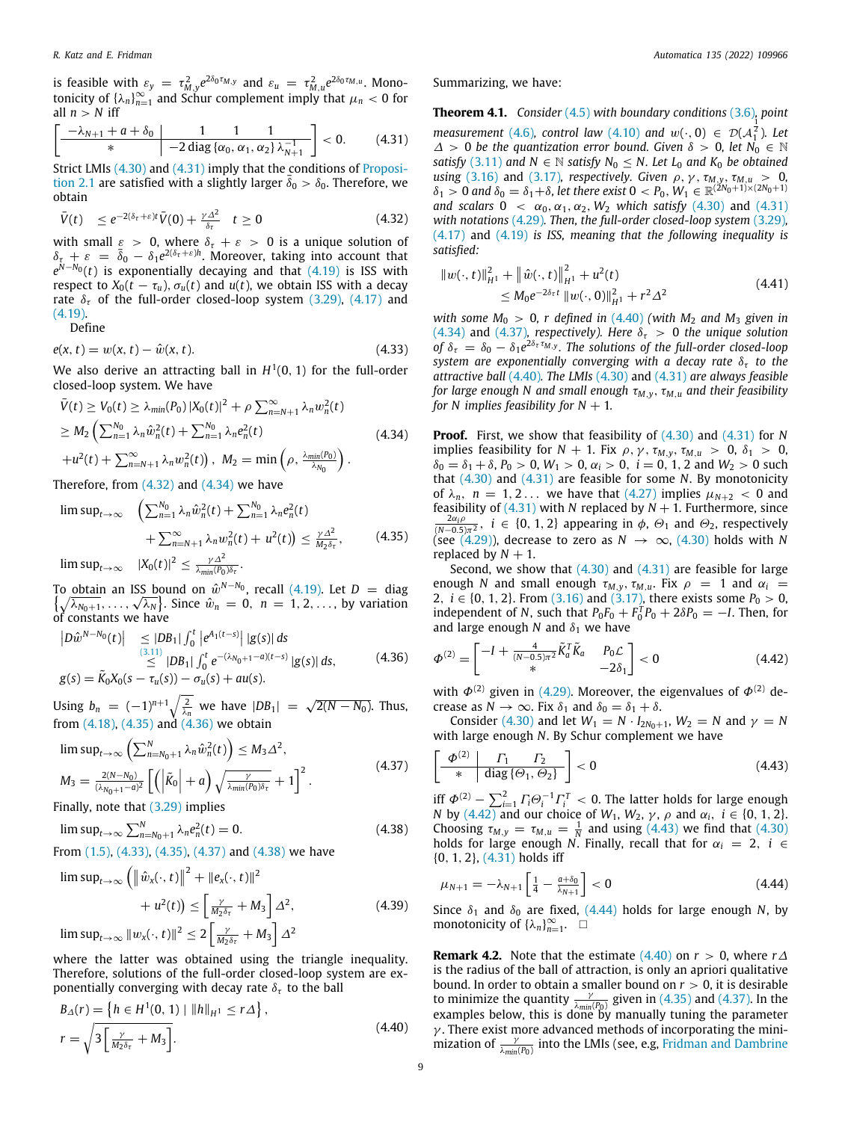is feasible with  $\varepsilon_y = \tau_{M,y}^2 e^{2\delta_0 \tau_{M,y}}$  and  $\varepsilon_u = \tau_{M,u}^2 e^{2\delta_0 \tau_{M,u}}$ . Monotonicity of  $\{\lambda_n\}_{n=1}^{\infty}$  and Schur complement imply that  $\mu_n < 0$  for all  $n > N$  iff

$$
\left[\frac{-\lambda_{N+1}+a+\delta_0}{*}\middle|\frac{1}{-2\operatorname{diag}\{\alpha_0,\alpha_1,\alpha_2\}\lambda_{N+1}^{-1}}\right]<0.
$$
 (4.31)

Strict LMIs ([4.30](#page-7-9)) and [\(4.31\)](#page-8-0) imply that the conditions of [Proposi](#page-2-7)[tion](#page-2-7) [2.1](#page-2-7) are satisfied with a slightly larger  $\overline{\delta}_0 > \delta_0$ . Therefore, we obtain

$$
\bar{V}(t) \leq e^{-2(\delta_{\tau}+\varepsilon)t}\bar{V}(0) + \frac{\gamma\Delta^2}{\delta_{\tau}} \quad t \geq 0 \tag{4.32}
$$

with small  $\varepsilon > 0$ , where  $\delta_{\tau} + \varepsilon > 0$  is a unique solution of  $\delta_{\tau} + \varepsilon = \bar{\delta}_0 - \delta_1 e^{2(\delta_{\tau} + \varepsilon)h}$ . Moreover, taking into account that *e*<sup>N−*N*<sub>0</sub></sup>(*t*) is exponentially decaying and that ([4.19](#page-7-10)) is ISS with respect to  $X_0(t - \tau_u)$ ,  $\sigma_u(t)$  and  $u(t)$ , we obtain ISS with a decay rate  $\delta_{\tau}$  of the full-order closed-loop system [\(3.29](#page-4-13)), ([4.17](#page-7-1)) and ([4.19](#page-7-10)).

Define

$$
e(x, t) = w(x, t) - \hat{w}(x, t).
$$
 (4.33)

We also derive an attracting ball in  $H^1(0,1)$  for the full-order closed-loop system. We have

$$
\bar{V}(t) \ge V_0(t) \ge \lambda_{min}(P_0) |X_0(t)|^2 + \rho \sum_{n=N+1}^{\infty} \lambda_n w_n^2(t)
$$
\n
$$
\ge M_2 \left( \sum_{n=1}^{N_0} \lambda_n \hat{w}_n^2(t) + \sum_{n=1}^{N_0} \lambda_n e_n^2(t) + u^2(t) + \sum_{n=N+1}^{\infty} \lambda_n w_n^2(t) \right), \ M_2 = \min \left( \rho, \frac{\lambda_{min}(P_0)}{\lambda_{N_0}} \right).
$$
\n(4.34)

Therefore, from  $(4.32)$  $(4.32)$  $(4.32)$  and  $(4.34)$  $(4.34)$  $(4.34)$  we have

$$
\limsup_{t \to \infty} \left( \sum_{n=1}^{N_0} \lambda_n \hat{w}_n^2(t) + \sum_{n=1}^{N_0} \lambda_n e_n^2(t) + \sum_{n=1}^{N_0} \lambda_n e_n^2(t) + \sum_{n=1}^{\infty} \lambda_n w_n^2(t) + u^2(t) \right) \le \frac{\gamma \Delta^2}{M_2 \delta_{\tau}},
$$
\n
$$
\limsup_{t \to \infty} |X_0(t)|^2 \le \frac{\gamma \Delta^2}{\lambda_{\min}(P_0)\delta_{\tau}}.
$$
\n(4.35)

To obtain an ISS bound on  $\hat{w}^{N-N_0}$ , recall ([4.19](#page-7-10)). Let  $D =$  diag To obtain an ISS bound on  $w^{n-n_0}$ , recall (4.19). Let  $D =$  diag<br> $\{\sqrt{\lambda_{N_0+1}}, \dots, \sqrt{\lambda_N}\}$ . Since  $\hat{w}_n = 0, n = 1, 2, \dots$ , by variation of constants we have

$$
\begin{array}{ll}\n|D\hat{w}^{N-N_0}(t)| & \leq |DB_1| \int_0^t \left| e^{A_1(t-s)} \right| \, |g(s)| \, ds \\
& \leq \quad |DB_1| \int_0^t e^{-(\lambda_{N_0+1}-a)(t-s)} \, |g(s)| \, ds, \\
g(s) = \tilde{K}_0 X_0(s - \tau_u(s)) - \sigma_u(s) + au(s).\n\end{array} \tag{4.36}
$$

Using  $b_n = (-1)^{n+1} \sqrt{\frac{2}{\lambda_n}}$  we have  $|DB_1| = \sqrt{2(N - N_0)}$ . Thus, from  $(4.18)$  $(4.18)$  $(4.18)$ ,  $(4.35)$  and  $(4.36)$  we obtain

$$
\limsup_{t \to \infty} \left( \sum_{n=N_0+1}^{N} \lambda_n \hat{w}_n^2(t) \right) \le M_3 \Delta^2,
$$
\n
$$
M_3 = \frac{2(N-N_0)}{(\lambda_{N_0+1}-a)^2} \left[ \left( \left| \tilde{K}_0 \right| + a \right) \sqrt{\frac{\gamma}{\lambda_{min}(P_0)\delta_{\tau}}} + 1 \right]^2.
$$
\n(4.37)

Finally, note that [\(3.29](#page-4-13)) implies

$$
\limsup_{t \to \infty} \sum_{n=N_0+1}^{N} \lambda_n e_n^2(t) = 0. \tag{4.38}
$$

From [\(1.5\)](#page-1-4), ([4.33](#page-8-5)), ([4.35](#page-8-3)), [\(4.37\)](#page-8-6) and [\(4.38\)](#page-8-7) we have

$$
\limsup_{t \to \infty} \left( \left\| \hat{w}_x(\cdot, t) \right\|^2 + \left\| e_x(\cdot, t) \right\|^2 +
$$
  
+  $u^2(t) \right) \le \left[ \frac{\gamma}{M_2 \delta_\tau} + M_3 \right] \Delta^2,$   

$$
\limsup_{t \to \infty} \| w_x(\cdot, t) \|^2 \le 2 \left[ \frac{\gamma}{M_2 \delta_\tau} + M_3 \right] \Delta^2
$$
 (4.39)

where the latter was obtained using the triangle inequality. Therefore, solutions of the full-order closed-loop system are exponentially converging with decay rate  $\delta_{\tau}$  to the ball

$$
B_{\Delta}(r) = \left\{ h \in H^{1}(0, 1) \mid ||h||_{H^{1}} \le r\Delta \right\},
$$
  
\n
$$
r = \sqrt{3 \left[ \frac{\gamma}{M_{2}\delta_{\tau}} + M_{3} \right]}.
$$
\n(4.40)

<span id="page-8-12"></span>Summarizing, we have:

<span id="page-8-0"></span>**Theorem 4.1.** *Consider* ([4.5\)](#page-6-1) *with boundary conditions* ([3.6](#page-3-10))*, point measurement* [\(4.6\)](#page-6-10)*, control law* [\(4.10\)](#page-6-3) *and*  $w(\cdot, 0) \in \mathcal{D}(A_1^{\overline{2}})$ *. Let* 1  $\Delta > 0$  be the quantization error bound. Given  $\delta > 0$ , let  $N_0 \in \mathbb{N}$ *satisfy* ([3.11](#page-3-11)) *and*  $N \in \mathbb{N}$  *satisfy*  $N_0 \leq N$ *. Let*  $L_0$  *and*  $K_0$  *be obtained using* [\(3.16](#page-3-12)) and [\(3.17\)](#page-3-13)*, respectively. Given*  $\rho$ *,*  $\gamma$ *,*  $\tau_{M,y}$ *,*  $\tau_{M,u} > 0$ *,*  $\delta_1 > 0$  and  $\delta_0 = \delta_1 + \delta$ , let there exist  $0 < P_0$ ,  $W_1 \in \mathbb{R}^{(2N_0 + 1) \times (2N_0 + 1)}$ *and scalars*  $0 < \alpha_0, \alpha_1, \alpha_2, W_2$  *which satisfy* [\(4.30](#page-7-9)) and [\(4.31\)](#page-8-0) *with notations* [\(4.29\)](#page-7-11)*. Then, the full-order closed-loop system* [\(3.29\)](#page-4-13)*,* ([4.17](#page-7-1)) and [\(4.19\)](#page-7-10) *is ISS, meaning that the following inequality is satisfied:*

<span id="page-8-13"></span><span id="page-8-1"></span>
$$
||w(\cdot, t)||_{H^1}^2 + ||\hat{w}(\cdot, t)||_{H^1}^2 + u^2(t)
$$
  
\n
$$
\leq M_0 e^{-2\delta_{\tau}t} ||w(\cdot, 0)||_{H^1}^2 + r^2 \Delta^2
$$
\n(4.41)

<span id="page-8-5"></span>*with some*  $M_0 > 0$ *, r defined in ([4.40](#page-8-8)) (with*  $M_2$  *and*  $M_3$  *given in* ([4.34](#page-8-2)) and ([4.37\)](#page-8-6)*, respectively*). Here  $\delta_{\tau} > 0$  the unique solution *of*  $\delta_{\tau} = \delta_0 - \delta_1 e^{2\delta_{\tau} \tau_{M,y}}$ . The solutions of the full-order closed-loop *system are exponentially converging with a decay rate*  $\delta_{\tau}$  *to the attractive ball* [\(4.40\)](#page-8-8)*. The LMIs* ([4.30](#page-7-9)) and [\(4.31\)](#page-8-0) *are always feasible for large enough N and small enough* τ*M*,*y*, τ*M*,*<sup>u</sup> and their feasibility for N implies feasibility for*  $N + 1$ *.* 

<span id="page-8-2"></span>**Proof.** First, we show that feasibility of [\(4.30](#page-7-9)) and [\(4.31\)](#page-8-0) for *N* implies feasibility for  $N + 1$ . Fix  $\rho$ ,  $\gamma$ ,  $\tau_{M,\nu}$ ,  $\tau_{M,\nu} > 0$ ,  $\delta_1 > 0$ ,  $\delta_0 = \delta_1 + \delta$ ,  $P_0 > 0$ ,  $W_1 > 0$ ,  $\alpha_i > 0$ ,  $i = 0, 1, 2$  and  $W_2 > 0$  such that ([4.30\)](#page-7-9) and [\(4.31\)](#page-8-0) are feasible for some *N*. By monotonicity of  $\lambda_n$ ,  $n = 1, 2...$  we have that [\(4.27](#page-7-12)) implies  $\mu_{N+2} < 0$  and feasibility of  $(4.31)$  $(4.31)$  $(4.31)$  with *N* replaced by  $N + 1$ . Furthermore, since  $\frac{2\alpha_i \rho}{(N-0.5)\pi^2}$ ,  $i \in \{0, 1, 2\}$  appearing in  $\phi$ ,  $\Theta_1$  and  $\Theta_2$ , respectively (see ([4.29](#page-7-11))), decrease to zero as  $N \to \infty$ , [\(4.30\)](#page-7-9) holds with *N* replaced by  $N + 1$ .

<span id="page-8-3"></span>Second, we show that  $(4.30)$  and  $(4.31)$  are feasible for large enough *N* and small enough  $\tau_{M,y}$ ,  $\tau_{M,y}$ . Fix  $\rho = 1$  and  $\alpha_i =$ 2,  $i \in \{0, 1, 2\}$ . From [\(3.16\)](#page-3-12) and [\(3.17\)](#page-3-13), there exists some  $P_0 > 0$ , independent of *N*, such that  $P_0F_0 + F_0^T P_0 + 2\delta P_0 = -I$ . Then, for and large enough  $N$  and  $\delta_1$  we have

<span id="page-8-9"></span><span id="page-8-4"></span>
$$
\Phi^{(2)} = \begin{bmatrix} -I + \frac{4}{(N-0.5)\pi^2} \tilde{K}_a^T \tilde{K}_a & P_0 \mathcal{L} \\ * & -2\delta_1 \end{bmatrix} < 0
$$
\n(4.42)

with  $\Phi^{(2)}$  given in [\(4.29\)](#page-7-11). Moreover, the eigenvalues of  $\Phi^{(2)}$  decrease as  $N \to \infty$ . Fix  $\delta_1$  and  $\delta_0 = \delta_1 + \delta$ .

Consider [\(4.30\)](#page-7-9) and let  $W_1 = N \cdot I_{2N_0+1}$ ,  $W_2 = N$  and  $\gamma = N$ with large enough *N*. By Schur complement we have

<span id="page-8-10"></span><span id="page-8-6"></span>
$$
\left[\begin{array}{c|c}\n\Phi^{(2)} & \Gamma_1 & \Gamma_2 \\
\hline\n\end{array}\right] < 0\tag{4.43}
$$

<span id="page-8-7"></span>iff  $\Phi^{(2)} - \sum_{i=1}^2 \Gamma_i \Theta_i^{-1} \Gamma_i^T < 0$ . The latter holds for large enough *N* by [\(4.42\)](#page-8-9) and our choice of  $W_1$ ,  $W_2$ ,  $\gamma$ ,  $\rho$  and  $\alpha_i$ ,  $i \in \{0, 1, 2\}$ . Choosing  $\tau_{M,y} = \tau_{M,u} = \frac{1}{N}$  and using ([4.43\)](#page-8-10) we find that [\(4.30\)](#page-7-9) holds for large enough *N*. Finally, recall that for  $\alpha_i = 2$ ,  $i \in$ {0, 1, 2}, [\(4.31](#page-8-0)) holds iff

<span id="page-8-11"></span>
$$
\mu_{N+1} = -\lambda_{N+1} \left[ \frac{1}{4} - \frac{a + \delta_0}{\lambda_{N+1}} \right] < 0 \tag{4.44}
$$

Since  $\delta_1$  and  $\delta_0$  are fixed, [\(4.44](#page-8-11)) holds for large enough *N*, by monotonicity of  $\{\lambda_n\}_{n=1}^{\infty}$ .  $\square$ 

<span id="page-8-8"></span>**Remark 4.2.** Note that the estimate  $(4.40)$  $(4.40)$  $(4.40)$  on  $r > 0$ , where  $r\Delta$ is the radius of the ball of attraction, is only an apriori qualitative bound. In order to obtain a smaller bound on *r* > 0, it is desirable to minimize the quantity  $\frac{\gamma}{\lambda_{min}(P_0)}$  given in ([4.35](#page-8-3)) and [\(4.37\)](#page-8-6). In the examples below, this is done by manually tuning the parameter  $\gamma$ . There exist more advanced methods of incorporating the minimization of  $\frac{\gamma}{\lambda_{min}(P_0)}$  into the LMIs (see, e.g, [Fridman and Dambrine](#page-12-26)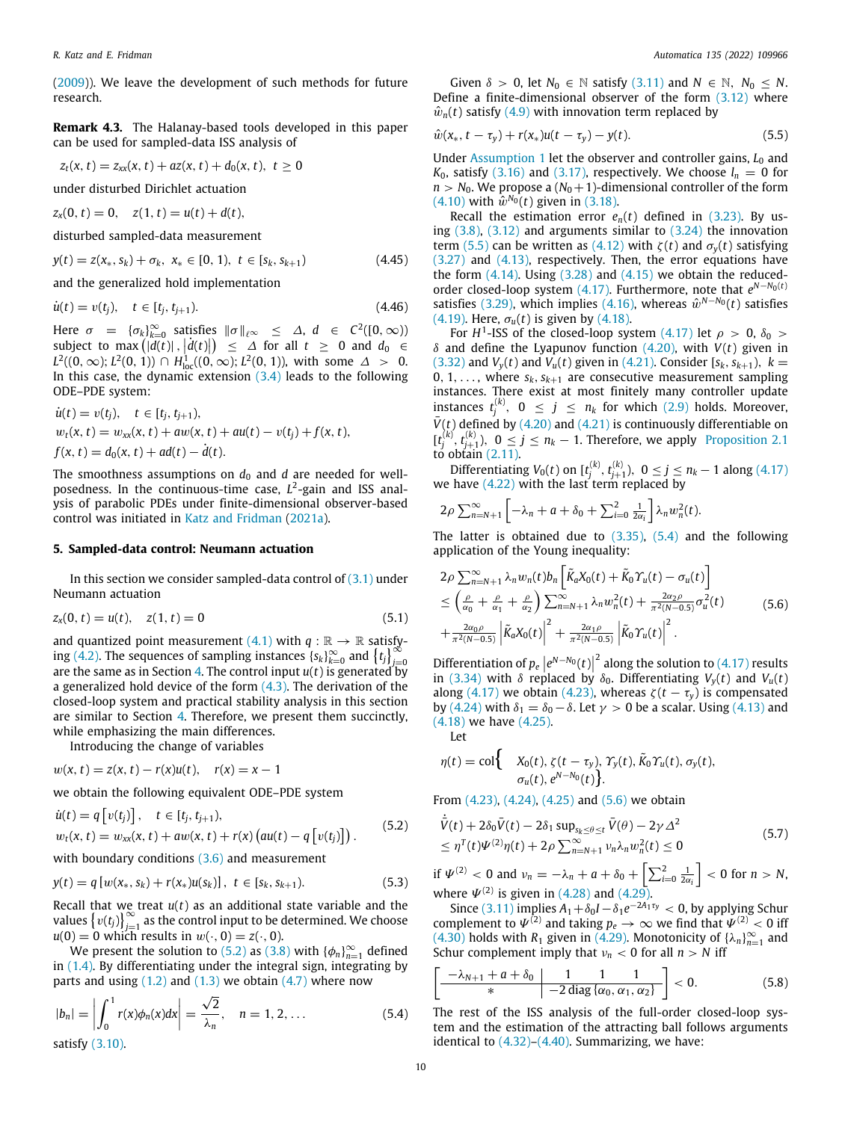([2009\)](#page-12-26)). We leave the development of such methods for future research.

**Remark 4.3.** The Halanay-based tools developed in this paper can be used for sampled-data ISS analysis of

$$
z_t(x, t) = z_{xx}(x, t) + az(x, t) + d_0(x, t), t \ge 0
$$

under disturbed Dirichlet actuation

 $z_x(0, t) = 0$ ,  $z(1, t) = u(t) + d(t)$ ,

disturbed sampled-data measurement

$$
y(t) = z(x_*, s_k) + \sigma_k, \ x_* \in [0, 1), \ t \in [s_k, s_{k+1})
$$
\n(4.45)

and the generalized hold implementation

$$
\dot{u}(t) = v(t_j), \quad t \in [t_j, t_{j+1}). \tag{4.46}
$$

Here  $\sigma = {\lbrace \sigma_k \rbrace_{k=0}^{\infty} }$  satisfies  $\|\sigma\|_{\ell^{\infty}} \leq \Delta, d \in C^2([0,\infty))$ subject to max  $(|d(t)|, |d(t)|) \leq \Delta$  for all  $t \geq 0$  and  $d_0 \in$ *L*<sup>2</sup>((0, ∞); *L*<sup>2</sup>(0, 1)) ∩ *H*<sub>loc</sub>((0, ∞); *L*<sup>2</sup>(0, 1)), with some  $\Delta > 0$ . In this case, the dynamic extension  $(3.4)$  leads to the following ODE–PDE system:

$$
\dot{u}(t) = v(t_j), \quad t \in [t_j, t_{j+1}),
$$
\n
$$
w_t(x, t) = w_{xx}(x, t) + aw(x, t) + au(t) - v(t_j) + f(x, t),
$$
\n
$$
f(x, t) = d_0(x, t) + ad(t) - d(t).
$$

The smoothness assumptions on  $d_0$  and  $d$  are needed for wellposedness. In the continuous-time case, *L* 2 -gain and ISS analysis of parabolic PDEs under finite-dimensional observer-based control was initiated in [Katz and Fridman](#page-12-6) [\(2021a\)](#page-12-6).

# **5. Sampled-data control: Neumann actuation**

<span id="page-9-0"></span>In this section we consider sampled-data control of  $(3.1)$  under Neumann actuation

$$
z_x(0, t) = u(t), \quad z(1, t) = 0 \tag{5.1}
$$

and quantized point measurement ([4.1](#page-5-14)) with  $q : \mathbb{R} \to \mathbb{R}$  satisfy-ing [\(4.2\)](#page-5-13). The sequences of sampling instances  ${s_k}_{k=0}^{\infty}$  and  ${t_i}_{j=0}^{\infty}$ are the same as in Section [4](#page-5-0). The control input *u*(*t*) is generated by a generalized hold device of the form  $(4.3)$ . The derivation of the closed-loop system and practical stability analysis in this section are similar to Section [4](#page-5-0). Therefore, we present them succinctly, while emphasizing the main differences.

Introducing the change of variables

$$
w(x, t) = z(x, t) - r(x)u(t), r(x) = x - 1
$$

we obtain the following equivalent ODE–PDE system

$$
\dot{u}(t) = q[v(t_j)], \quad t \in [t_j, t_{j+1}), \n w_t(x, t) = w_{xx}(x, t) + aw(x, t) + r(x) (au(t) - q[v(t_j)]).
$$
\n(5.2)

with boundary conditions  $(3.6)$  $(3.6)$  and measurement

$$
y(t) = q [w(x_*, s_k) + r(x_*)u(s_k)], \ t \in [s_k, s_{k+1}).
$$
\n(5.3)

Recall that we treat *u*(*t*) as an additional state variable and the values  ${v(t_j)}_{j=1}^{\infty}$  as the control input to be determined. We choose  $u(0) = 0$  which results in  $w(\cdot, 0) = z(\cdot, 0)$ .

We present the solution to ([5.2](#page-9-1)) as ([3.8](#page-3-9)) with  $\{\phi_n\}_{n=1}^\infty$  defined in [\(1.4\)](#page-1-1). By differentiating under the integral sign, integrating by parts and using  $(1.2)$  and  $(1.3)$  $(1.3)$  $(1.3)$  we obtain  $(4.7)$  $(4.7)$  $(4.7)$  where now

$$
|b_n| = \left| \int_0^1 r(x) \phi_n(x) dx \right| = \frac{\sqrt{2}}{\lambda_n}, \quad n = 1, 2, ... \tag{5.4}
$$

satisfy [\(3.10](#page-3-15)).

Given  $\delta > 0$ , let  $N_0 \in \mathbb{N}$  satisfy [\(3.11\)](#page-3-11) and  $N \in \mathbb{N}$ ,  $N_0 \le N$ . Define a finite-dimensional observer of the form ([3.12](#page-3-7)) where  $\hat{w}_n(t)$  satisfy [\(4.9\)](#page-6-2) with innovation term replaced by

<span id="page-9-2"></span>
$$
\hat{w}(x_*, t - \tau_y) + r(x_*)u(t - \tau_y) - y(t).
$$
\n(5.5)

Under [Assumption](#page-3-6) [1](#page-3-6) let the observer and controller gains, *L*<sub>0</sub> and  $K_0$ , satisfy ([3.16](#page-3-12)) and [\(3.17](#page-3-13)), respectively. We choose  $l_n = 0$  for  $n > N_0$ . We propose a  $(N_0 + 1)$ -dimensional controller of the form  $(4.10)$  $(4.10)$  $(4.10)$  with  $\hat{w}^{N_0}(t)$  given in ([3.18](#page-4-0)).

Recall the estimation error  $e_n(t)$  defined in ([3.23](#page-4-11)). By using  $(3.8)$ ,  $(3.12)$  and arguments similar to  $(3.24)$  $(3.24)$  the innovation term [\(5.5\)](#page-9-2) can be written as [\(4.12](#page-6-12)) with  $\zeta(t)$  and  $\sigma_{\nu}(t)$  satisfying ([3.27](#page-4-3)) and ([4.13](#page-6-9)), respectively. Then, the error equations have the form  $(4.14)$  $(4.14)$ . Using  $(3.28)$  $(3.28)$  and  $(4.15)$  $(4.15)$  $(4.15)$  we obtain the reducedorder closed-loop system  $(4.17)$  $(4.17)$ . Furthermore, note that  $e^{N-N_0(t)}$ satisfies [\(3.29\)](#page-4-13), which implies [\(4.16\)](#page-6-7), whereas  $\hat{w}^{N-N_0}(t)$  satisfies ([4.19](#page-7-10)). Here,  $\sigma_u(t)$  is given by ([4.18](#page-7-2)).

For  $H^1$ -ISS of the closed-loop system ([4.17](#page-7-1)) let  $\rho > 0$ ,  $\delta_0 >$ δ and define the Lyapunov function [\(4.20](#page-7-0)), with *V*(*t*) given in ([3.32](#page-4-9)) and  $V_y(t)$  and  $V_u(t)$  given in [\(4.21\)](#page-7-3). Consider [ $s_k, s_{k+1}$ ],  $k =$ 0, 1, ..., where  $s_k$ ,  $s_{k+1}$  are consecutive measurement sampling instances. There exist at most finitely many controller update instances  $t_j^{(k)}$ ,  $0 \le j \le n_k$  for which ([2.9](#page-2-10)) holds. Moreover,  $\bar{V}(t)$  defined by ([4.20](#page-7-0)) and ([4.21](#page-7-3)) is continuously differentiable on  $[t_j^{(k)}, t_{j+1}^{(k)}), 0 \le j \le n_k - 1$ . Therefore, we apply [Proposition](#page-2-7) [2.1](#page-2-7) to obtain [\(2.11\)](#page-2-11).

Differentiating  $V_0(t)$  on  $[t_j^{(k)}, t_{j+1}^{(k)}), 0 \le j \le n_k - 1$  along [\(4.17\)](#page-7-1) we have  $(4.22)$  $(4.22)$  $(4.22)$  with the last term replaced by

$$
2\rho \sum_{n=N+1}^{\infty} \left[ -\lambda_n + a + \delta_0 + \sum_{i=0}^{2} \frac{1}{2\alpha_i} \right] \lambda_n w_n^2(t).
$$

The latter is obtained due to ([3.35](#page-4-6)), [\(5.4\)](#page-9-3) and the following application of the Young inequality:

<span id="page-9-4"></span>
$$
2\rho \sum_{n=N+1}^{\infty} \lambda_n w_n(t) b_n \left[ \tilde{K}_a X_0(t) + \tilde{K}_0 \Upsilon_u(t) - \sigma_u(t) \right]
$$
  
\n
$$
\leq \left( \frac{\rho}{\alpha_0} + \frac{\rho}{\alpha_1} + \frac{\rho}{\alpha_2} \right) \sum_{n=N+1}^{\infty} \lambda_n w_n^2(t) + \frac{2\alpha_2 \rho}{\pi^2 (N-0.5)} \sigma_u^2(t)
$$
  
\n
$$
+ \frac{2\alpha_0 \rho}{\pi^2 (N-0.5)} \left| \tilde{K}_a X_0(t) \right|^2 + \frac{2\alpha_1 \rho}{\pi^2 (N-0.5)} \left| \tilde{K}_0 \Upsilon_u(t) \right|^2.
$$
 (5.6)

<span id="page-9-7"></span>Differentiation of  $p_e\left|e^{N-N_0}(t)\right|^2$  along the solution to ([4.17\)](#page-7-1) results in [\(3.34](#page-4-8)) with  $\delta$  replaced by  $\delta_0$ . Differentiating  $V_v(t)$  and  $V_u(t)$ along ([4.17\)](#page-7-1) we obtain ([4.23](#page-7-5)), whereas  $\zeta(t-\tau_v)$  is compensated by [\(4.24\)](#page-7-6) with  $\delta_1 = \delta_0 - \delta$ . Let  $\gamma > 0$  be a scalar. Using ([4.13\)](#page-6-9) and ([4.18](#page-7-2)) we have [\(4.25](#page-7-7)).

Let

<span id="page-9-1"></span>the control of the

$$
\eta(t) = \text{col}\left\{\n\begin{array}{l}\nX_0(t), \zeta(t-\tau_y), \gamma_y(t), \tilde{K}_0 \gamma_u(t), \sigma_y(t), \\
\sigma_u(t), e^{N-N_0}(t)\n\end{array}\n\right\}.
$$

From [\(4.23\)](#page-7-5), ([4.24\)](#page-7-6), ([4.25](#page-7-7)) and [\(5.6\)](#page-9-4) we obtain

$$
\dot{\bar{V}}(t) + 2\delta_0 \bar{V}(t) - 2\delta_1 \sup_{\mathbf{x}_k \leq \theta \leq t} \bar{V}(\theta) - 2\gamma \Delta^2
$$
\n
$$
\leq \eta^T(t)\Psi^{(2)}\eta(t) + 2\rho \sum_{n=N+1}^{\infty} \nu_n \lambda_n w_n^2(t) \leq 0
$$
\n(5.7)

<span id="page-9-5"></span>if  $\Psi^{(2)} < 0$  and  $\nu_n = -\lambda_n + a + \delta_0 + \left[ \sum_{i=0}^2 \frac{1}{2\alpha_i} \right] < 0$  for  $n > N$ , where  $\Psi^{(2)}$  is given in [\(4.28\)](#page-7-8) and ([4.29\)](#page-7-11).

Since  $(3.11)$  $(3.11)$  implies  $A_1 + \delta_0 I - \delta_1 e^{-2A_1\tau_y} < 0$ , by applying Schur complement to  $\Psi^{(2)}$  and taking  $p_e \to \infty$  we find that  $\Psi^{(2)} < 0$  iff  $(4.30)$  $(4.30)$  $(4.30)$  holds with  $R_1$  given in  $(4.29)$  $(4.29)$  $(4.29)$ . Monotonicity of  $\{\lambda_n\}_{n=1}^{\infty}$  and Schur complement imply that  $v_n < 0$  for all  $n > N$  iff

<span id="page-9-6"></span>
$$
\left[\frac{-\lambda_{N+1}+a+\delta_0}{*}\middle|\frac{1}{-2\operatorname{diag}\{\alpha_0,\alpha_1,\alpha_2\}}\right]<0.
$$
 (5.8)

<span id="page-9-8"></span><span id="page-9-3"></span>The rest of the ISS analysis of the full-order closed-loop system and the estimation of the attracting ball follows arguments identical to  $(4.32)$  $(4.32)$ – $(4.40)$ . Summarizing, we have: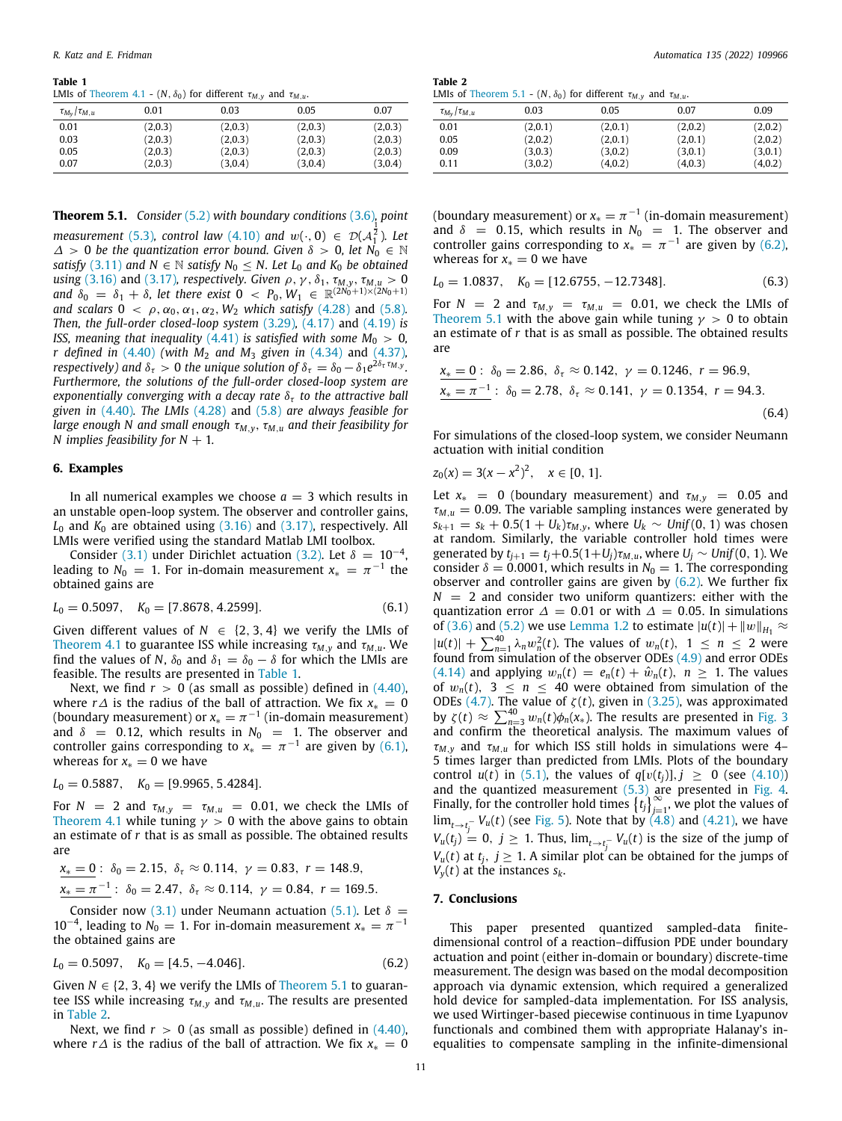#### **Table 1**

<span id="page-10-2"></span>LMIs of [Theorem](#page-8-12) [4.1](#page-8-12) -  $(N, \delta_0)$  for different  $\tau_{M,v}$  and  $\tau_{M,v}$ .

|                         | .       |         |         |         |
|-------------------------|---------|---------|---------|---------|
| $\tau_{M_v}/\tau_{M,u}$ | 0.01    | 0.03    | 0.05    | 0.07    |
| 0.01                    | (2,0.3) | (2,0.3) | (2,0.3) | (2,0.3) |
| 0.03                    | (2,0.3) | (2,0.3) | (2,0.3) | (2,0.3) |
| 0.05                    | (2,0.3) | (2,0.3) | (2,0.3) | (2,0.3) |
| 0.07                    | (2,0.3) | (3,0.4) | (3,0.4) | (3,0.4) |

**Theorem 5.1.** *Consider* ([5.2\)](#page-9-1) *with boundary conditions* ([3.6](#page-3-10))*, point*

*measurement* [\(5.3\)](#page-9-5), control law [\(4.10\)](#page-6-3) and  $w(\cdot, 0) \in \mathcal{D}(A_1^{\frac{1}{2}})$ . Let  $\Delta > 0$  be the quantization error bound. Given  $\delta > 0$ , let  $N_0 \in \mathbb{N}$ *satisfy* ([3.11](#page-3-11)) *and*  $N \in \mathbb{N}$  *satisfy*  $N_0 \leq N$ . Let  $L_0$  *and*  $K_0$  *be obtained using* [\(3.16](#page-3-12)) and ([3.17\)](#page-3-13), *respectively. Given*  $\rho$ *,*  $\gamma$ *,*  $\delta_1$ *,*  $\tau_{M,y},$  $\tau_{M,u} > 0$  $\alpha$  *and*  $\delta_0 = \delta_1 + \delta$ , let there exist  $0 < P_0, W_1 \in \mathbb{R}^{(2N_0+1)\times(2N_0+1)}$ *and scalars*  $0 < \rho, \alpha_0, \alpha_1, \alpha_2, W_2$  *which satisfy* [\(4.28\)](#page-7-8) and [\(5.8\)](#page-9-6). *Then, the full-order closed-loop system* ([3.29\)](#page-4-13)*,* [\(4.17](#page-7-1)) and [\(4.19\)](#page-7-10) *is ISS, meaning that inequality*  $(4.41)$  *is satisfied with some*  $M_0 > 0$ *, r defined in* [\(4.40\)](#page-8-8) *(with M*<sup>2</sup> *and M*<sup>3</sup> *given in* ([4.34](#page-8-2)) and [\(4.37\)](#page-8-6)*,*  $r$ espectively) and  $\delta_\tau > 0$  the unique solution of  $\delta_\tau = \delta_0 - \delta_1 e^{2\delta_\tau \tau_{\text{M},\text{y}}}.$ *Furthermore, the solutions of the full-order closed-loop system are exponentially converging with a decay rate*  $\delta_{\tau}$  *to the attractive ball given in* ([4.40](#page-8-8))*. The LMIs* [\(4.28\)](#page-7-8) and ([5.8](#page-9-6)) *are always feasible for large enough N and small enough*  $τ_{M,y}$ ,  $τ_{M,u}$  *and their feasibility for N* implies feasibility for  $N + 1$ .

## **6. Examples**

<span id="page-10-0"></span>In all numerical examples we choose  $a = 3$  which results in an unstable open-loop system. The observer and controller gains,  $L_0$  and  $K_0$  are obtained using  $(3.16)$  and  $(3.17)$  $(3.17)$  $(3.17)$ , respectively. All LMIs were verified using the standard Matlab LMI toolbox.

Consider ([3.1](#page-3-3)) under Dirichlet actuation ([3.2](#page-3-4)). Let  $\delta = 10^{-4}$ , leading to  $N_0 = 1$ . For in-domain measurement  $x_* = \pi^{-1}$  the obtained gains are

$$
L_0 = 0.5097, \quad K_0 = [7.8678, 4.2599]. \tag{6.1}
$$

Given different values of  $N \in \{2, 3, 4\}$  we verify the LMIs of [Theorem](#page-8-12) [4.1](#page-8-12) to guarantee ISS while increasing  $\tau_{M,\nu}$  and  $\tau_{M,\nu}$ . We find the values of *N*,  $\delta_0$  and  $\delta_1 = \delta_0 - \delta$  for which the LMIs are feasible. The results are presented in [Table](#page-10-2) [1.](#page-10-2)

Next, we find  $r > 0$  (as small as possible) defined in  $(4.40)$ , where *r* $\triangle$  is the radius of the ball of attraction. We fix  $x_* = 0$ (boundary measurement) or  $x_* = \pi^{-1}$  (in-domain measurement) and  $\delta$  = 0.12, which results in  $N_0$  = 1. The observer and controller gains corresponding to  $x_* = \pi^{-1}$  are given by [\(6.1\)](#page-10-3), whereas for  $x<sub>*</sub> = 0$  we have

 $L_0 = 0.5887$ ,  $K_0 = [9.9965, 5.4284]$ .

For  $N = 2$  and  $\tau_{M,y} = \tau_{M,u} = 0.01$ , we check the LMIs of [Theorem](#page-8-12) [4.1](#page-8-12) while tuning  $\gamma > 0$  with the above gains to obtain an estimate of *r* that is as small as possible. The obtained results are

$$
\begin{aligned}\n\frac{x_* = 0 : \delta_0 = 2.15, \ \delta_\tau \approx 0.114, \ \gamma = 0.83, \ r = 148.9, \\
\frac{x_* = \pi^{-1}}{0} &\quad \delta_0 = 2.47, \ \delta_\tau \approx 0.114, \ \gamma = 0.84, \ r = 169.5.\n\end{aligned}
$$

Consider now ([3.1\)](#page-3-3) under Neumann actuation ([5.1](#page-9-7)). Let  $\delta =$ 10<sup>-4</sup>, leading to  $N_0 = 1$ . For in-domain measurement  $x_* = π^{-1}$ the obtained gains are

$$
L_0 = 0.5097, \quad K_0 = [4.5, -4.046]. \tag{6.2}
$$

Given  $N \in \{2, 3, 4\}$  we verify the LMIs of [Theorem](#page-9-8) [5.1](#page-9-8) to guarantee ISS while increasing  $\tau_{M,y}$  and  $\tau_{M,u}$ . The results are presented in [Table](#page-10-4) [2](#page-10-4).

Next, we find  $r > 0$  (as small as possible) defined in  $(4.40)$ , where *r* $\triangle$  is the radius of the ball of attraction. We fix  $x_* = 0$ 

<span id="page-10-4"></span>

| Table 2 |                                                                                       |  |
|---------|---------------------------------------------------------------------------------------|--|
|         | LMIs of Theorem 5.1 - $(N, \delta_0)$ for different $\tau_{M, v}$ and $\tau_{M, u}$ . |  |

| $\tau_{M_v}/\tau_{M,u}$ | 0.03    | 0.05    | 0.07    | 0.09    |
|-------------------------|---------|---------|---------|---------|
| 0.01                    | (2,0.1) | (2,0.1) | (2,0.2) | (2,0.2) |
| 0.05                    | (2,0.2) | (2,0.1) | (2,0.1) | (2,0.2) |
| 0.09                    | (3,0.3) | (3,0.2) | (3,0.1) | (3,0.1) |
| 0.11                    | (3,0.2) | (4,0.2) | (4,0.3) | (4,0.2) |

(boundary measurement) or  $x_* = \pi^{-1}$  (in-domain measurement) and  $\delta$  = 0.15, which results in  $N_0$  = 1. The observer and controller gains corresponding to  $x_* = \pi^{-1}$  are given by [\(6.2\)](#page-10-5), whereas for  $x_* = 0$  we have

$$
L_0 = 1.0837, \quad K_0 = [12.6755, -12.7348]. \tag{6.3}
$$

For  $N = 2$  and  $\tau_{M,v} = \tau_{M,u} = 0.01$ , we check the LMIs of [Theorem](#page-9-8) [5.1](#page-9-8) with the above gain while tuning  $\gamma > 0$  to obtain an estimate of *r* that is as small as possible. The obtained results are

$$
\begin{aligned} \underline{x_* = 0}: \ \delta_0 &= 2.86, \ \delta_\tau \approx 0.142, \ \gamma = 0.1246, \ r = 96.9, \\ \underline{x_* = \pi^{-1}}: \ \delta_0 &= 2.78, \ \delta_\tau \approx 0.141, \ \gamma = 0.1354, \ r = 94.3. \end{aligned} \tag{6.4}
$$

For simulations of the closed-loop system, we consider Neumann actuation with initial condition

$$
z_0(x) = 3(x - x^2)^2, \quad x \in [0, 1].
$$

<span id="page-10-3"></span>Let  $x_* = 0$  (boundary measurement) and  $\tau_{M,v} = 0.05$  and  $\tau_{M,u}$  = 0.09. The variable sampling instances were generated by  $s_{k+1} = s_k + 0.5(1 + U_k)\tau_{M,y}$ , where  $U_k \sim Unif(0, 1)$  was chosen at random. Similarly, the variable controller hold times were generated by  $t_{j+1} = t_j + 0.5(1+U_j)\tau_{M,u}$ , where  $U_j \sim Unif(0, 1)$ . We consider  $\delta = 0.0001$ , which results in  $N_0 = 1$ . The corresponding observer and controller gains are given by  $(6.2)$  $(6.2)$ . We further fix  $N = 2$  and consider two uniform quantizers: either with the quantization error  $\Delta = 0.01$  or with  $\Delta = 0.05$ . In simulations of ([3.6](#page-3-10)) and [\(5.2\)](#page-9-1) we use [Lemma](#page-1-5) [1.2](#page-1-5) to estimate  $|u(t)| + ||w||_{H_1} \approx$  $|u(t)| + \sum_{n=1}^{40} \lambda_n w_n^2(t)$ . The values of  $w_n(t)$ ,  $1 \le n \le 2$  were found from simulation of the observer ODEs ([4.9\)](#page-6-2) and error ODEs ([4.14](#page-6-5)) and applying  $w_n(t) = e_n(t) + \hat{w}_n(t)$ ,  $n \ge 1$ . The values of  $w_n(t)$ ,  $3 \leq n \leq 40$  were obtained from simulation of the ODEs ([4.7\)](#page-6-4). The value of  $\zeta(t)$ , given in [\(3.25\)](#page-4-1), was approximated by  $\zeta(t) \approx \sum_{n=3}^{40} w_n(t) \phi_n(x_*)$  $\zeta(t) \approx \sum_{n=3}^{40} w_n(t) \phi_n(x_*)$  $\zeta(t) \approx \sum_{n=3}^{40} w_n(t) \phi_n(x_*)$ . The results are presented in [Fig.](#page-11-1) 3 and confirm the theoretical analysis. The maximum values of  $\tau_{M,\nu}$  and  $\tau_{M,\nu}$  for which ISS still holds in simulations were 4– 5 times larger than predicted from LMIs. Plots of the boundary control  $u(t)$  in ([5.1](#page-9-7)), the values of  $q[v(t_j)], j \ge 0$  (see [\(4.10\)](#page-6-3)) and the quantized measurement [\(5.3\)](#page-9-5) are presented in [Fig.](#page-11-2) [4.](#page-11-2) Finally, for the controller hold times  $\{t_j\}_{j=1}^{\infty}$ , we plot the values of  $\lim_{t\to t_{j}^{-}}V_{u}(t)$  (see [Fig.](#page-11-3) [5\)](#page-11-3). Note that by  $(4.8)$  $(4.8)$  $(4.8)$  and  $(4.21)$  $(4.21)$  $(4.21)$ , we have  $V_u(t_j) = 0$ ,  $j \ge 1$ . Thus,  $\lim_{t \to t_j^-} V_u(t)$  is the size of the jump of *V*<sup>*u*</sup>(*t*) at *t*<sup>*j*</sup>, *j*  $\geq$  1. A similar plot can be obtained for the jumps of  $V_y(t)$  at the instances  $s_k$ .

### **7. Conclusions**

<span id="page-10-5"></span><span id="page-10-1"></span>This paper presented quantized sampled-data finitedimensional control of a reaction–diffusion PDE under boundary actuation and point (either in-domain or boundary) discrete-time measurement. The design was based on the modal decomposition approach via dynamic extension, which required a generalized hold device for sampled-data implementation. For ISS analysis, we used Wirtinger-based piecewise continuous in time Lyapunov functionals and combined them with appropriate Halanay's inequalities to compensate sampling in the infinite-dimensional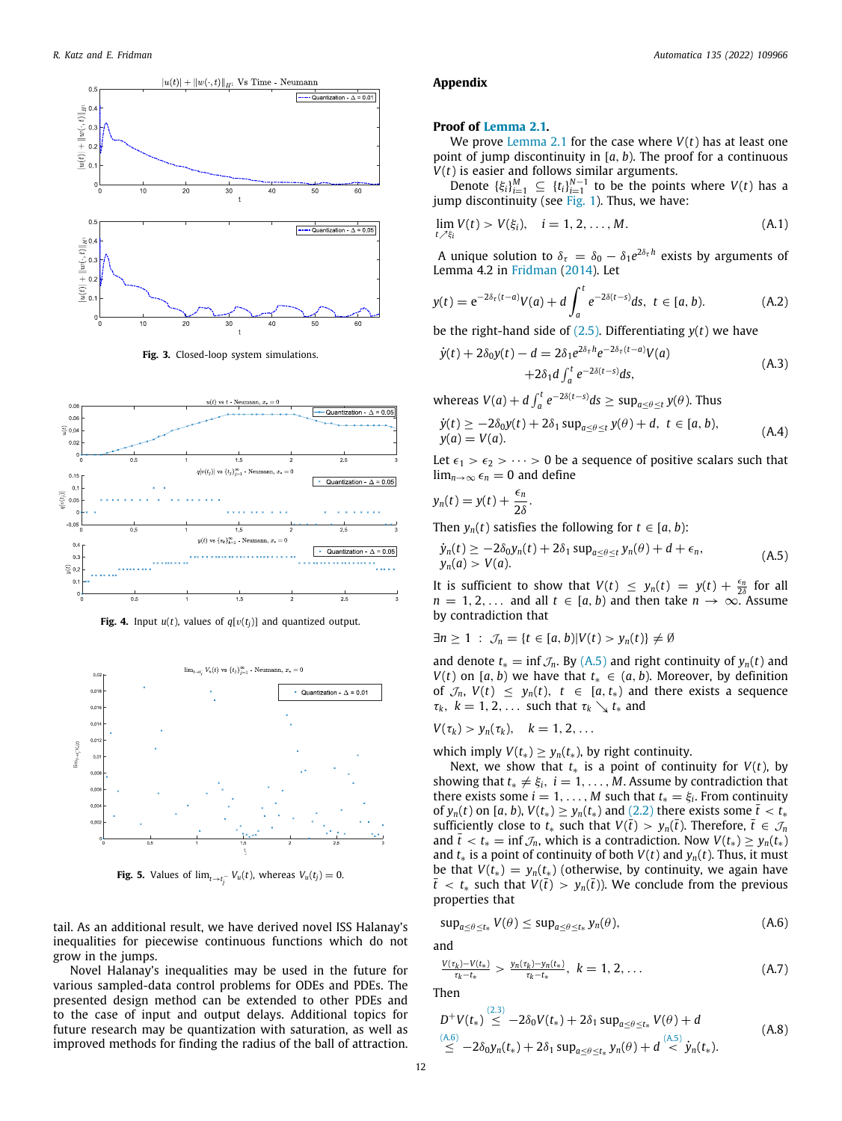

**Fig. 3.** Closed-loop system simulations.

<span id="page-11-1"></span>

<span id="page-11-2"></span>**Fig. 4.** Input  $u(t)$ , values of  $q[v(t_j)]$  and quantized output.



**Fig. 5.** Values of  $\lim_{t \to t^-_j} V_u(t)$ , whereas  $V_u(t_j) = 0$ .

<span id="page-11-3"></span>tail. As an additional result, we have derived novel ISS Halanay's inequalities for piecewise continuous functions which do not grow in the jumps.

Novel Halanay's inequalities may be used in the future for various sampled-data control problems for ODEs and PDEs. The presented design method can be extended to other PDEs and to the case of input and output delays. Additional topics for future research may be quantization with saturation, as well as improved methods for finding the radius of the ball of attraction.

#### **Appendix**

## <span id="page-11-0"></span>**Proof of [Lemma](#page-2-4) [2.1.](#page-2-4)**

We prove [Lemma](#page-2-4) [2.1](#page-2-4) for the case where *V*(*t*) has at least one point of jump discontinuity in [*a*, *b*). The proof for a continuous *V*(*t*) is easier and follows similar arguments.

Denote  $\{\xi_i\}_{i=1}^M \subseteq \{t_i\}_{i=1}^{N-1}$  to be the points where *V*(*t*) has a jump discontinuity (see [Fig.](#page-2-0) [1\)](#page-2-0). Thus, we have:

$$
\lim_{t \nearrow \xi_i} V(t) > V(\xi_i), \quad i = 1, 2, ..., M.
$$
\n(A.1)

A unique solution to  $\delta_{\tau} = \delta_0 - \delta_1 e^{2\delta_{\tau} h}$  exists by arguments of Lemma 4.2 in [Fridman](#page-12-25) ([2014](#page-12-25)). Let

$$
y(t) = e^{-2\delta_{\tau}(t-a)}V(a) + d \int_{a}^{t} e^{-2\delta(t-s)} ds, \ t \in [a, b).
$$
 (A.2)

be the right-hand side of  $(2.5)$ . Differentiating  $y(t)$  we have

$$
\dot{y}(t) + 2\delta_0 y(t) - d = 2\delta_1 e^{2\delta_\tau h} e^{-2\delta_\tau (t-a)} V(a) \n+ 2\delta_1 d \int_a^t e^{-2\delta(t-s)} ds,
$$
\n(A.3)

whereas  $V(a) + d \int_a^t e^{-2\delta(t-s)} ds \ge \sup_{a \le \theta \le t} y(\theta)$ . Thus

$$
\dot{y}(t) \ge -2\delta_0 y(t) + 2\delta_1 \sup_{a \le \theta \le t} y(\theta) + d, \ t \in [a, b), \n y(a) = V(a).
$$
\n(A.4)

Let  $\epsilon_1 > \epsilon_2 > \cdots > 0$  be a sequence of positive scalars such that  $\lim_{n\to\infty} \epsilon_n = 0$  and define

$$
y_n(t) = y(t) + \frac{\epsilon_n}{2\delta}.
$$

Then  $y_n(t)$  satisfies the following for  $t \in [a, b)$ :

<span id="page-11-4"></span>
$$
\dot{y}_n(t) \ge -2\delta_0 y_n(t) + 2\delta_1 \sup_{a \le \theta \le t} y_n(\theta) + d + \epsilon_n,
$$
\n(A.5)

It is sufficient to show that  $V(t) \leq y_n(t) = y(t) + \frac{\epsilon_n}{2\delta}$  for all  $n = 1, 2, \ldots$  and all  $t \in [a, b)$  and then take  $n \to \infty$ . Assume by contradiction that

$$
\exists n \geq 1 \; : \; \mathcal{J}_n = \{t \in [a, b)|V(t) > y_n(t)\} \neq \emptyset
$$

and denote  $t_* = \inf \mathcal{J}_n$ . By ([A.5](#page-11-4)) and right continuity of  $y_n(t)$  and *V*(*t*) on [*a*, *b*) we have that  $t_* \in (a, b)$ . Moreover, by definition of  $\mathcal{J}_n$ ,  $V(t) \leq y_n(t)$ ,  $t \in [a, t_*)$  and there exists a sequence  $\tau_k$ ,  $k = 1, 2, \ldots$  such that  $\tau_k \searrow t_*$  and

$$
V(\tau_k) > y_n(\tau_k), \quad k = 1, 2, \ldots
$$

which imply  $V(t_*) \geq y_n(t_*)$ , by right continuity.

Next, we show that  $t_*$  is a point of continuity for  $V(t)$ , by showing that  $t_* \neq \xi_i$ ,  $i = 1, \ldots, M$ . Assume by contradiction that there exists some  $i = 1, \ldots, M$  such that  $t_* = \xi_i$ . From continuity of  $y_n(t)$  on [a, b),  $V(t_*) \ge y_n(t_*)$  and ([2.2](#page-2-1)) there exists some  $\bar{t} < t_*$ sufficiently close to  $t_*$  such that  $V(\bar{t}) > y_n(\bar{t})$ . Therefore,  $\bar{t} \in \mathcal{J}_n$ and  $\bar{t} < t_* = \inf \mathcal{J}_n$ , which is a contradiction. Now  $V(t_*) \geq y_n(t_*)$ and  $t_*$  is a point of continuity of both  $V(t)$  and  $y_n(t)$ . Thus, it must be that  $V(t_*) = \gamma_n(t_*)$  (otherwise, by continuity, we again have  $\bar{t}$  <  $t_*$  such that  $V(\bar{t}) > y_n(\bar{t})$ ). We conclude from the previous properties that

<span id="page-11-5"></span>
$$
\sup_{a \leq \theta \leq t_*} V(\theta) \leq \sup_{a \leq \theta \leq t_*} y_n(\theta), \tag{A.6}
$$

and

<span id="page-11-6"></span>
$$
\frac{V(\tau_k)-V(t_*)}{\tau_k-t_*} > \frac{y_n(\tau_k)-y_n(t_*)}{\tau_k-t_*}, \ k=1,2,\ldots \qquad (A.7)
$$

Then

<span id="page-11-7"></span>
$$
D^{+}V(t_{*}) \stackrel{(2,3)}{\leq} -2\delta_{0}V(t_{*}) + 2\delta_{1} \sup_{a \leq \theta \leq t_{*}} V(\theta) + d
$$
\n(A.8)\n
$$
\stackrel{(A.6)}{\leq} -2\delta_{0}y_{n}(t_{*}) + 2\delta_{1} \sup_{a \leq \theta \leq t_{*}} y_{n}(\theta) + d \stackrel{(A.5)}{\leq} \dot{y}_{n}(t_{*}).
$$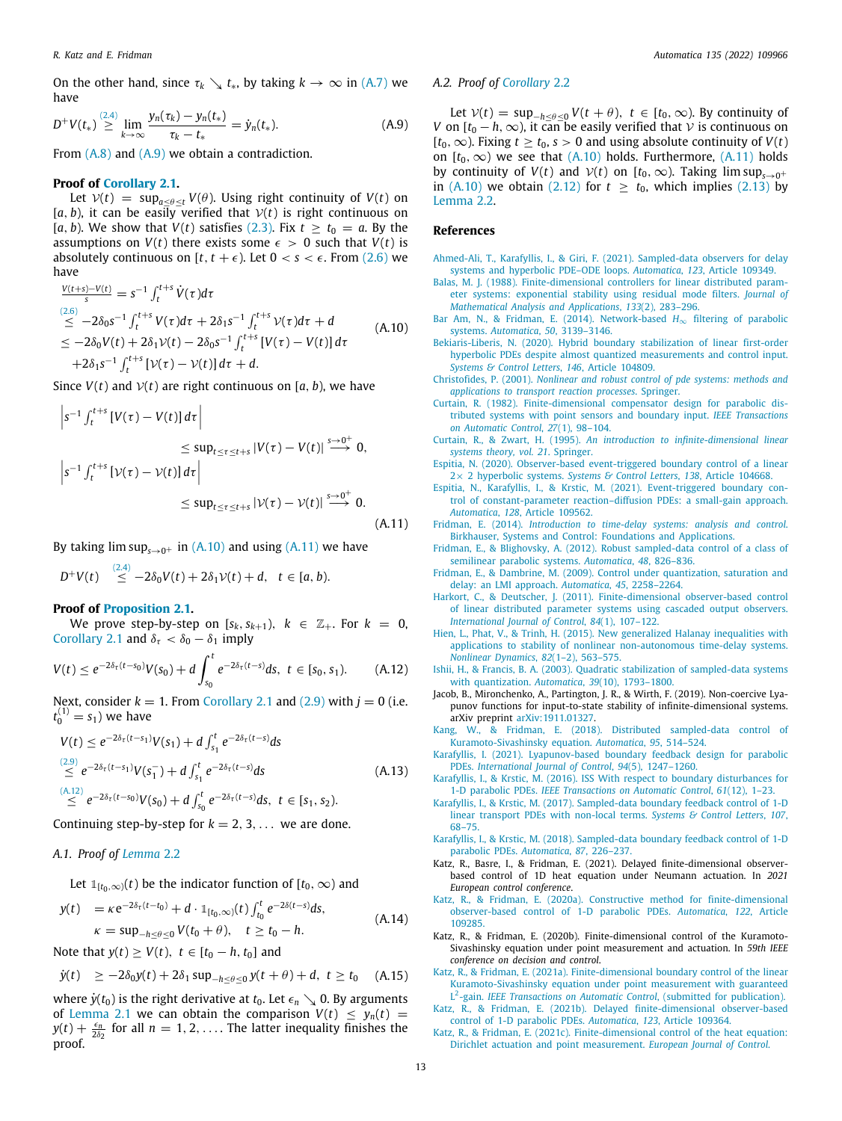On the other hand, since  $\tau_k \setminus t_*$ , by taking  $k \to \infty$  in ([A.7](#page-11-6)) we have

$$
D^{+}V(t_{*}) \stackrel{(2.4)}{\geq} \lim_{k \to \infty} \frac{y_{n}(\tau_{k}) - y_{n}(t_{*})}{\tau_{k} - t_{*}} = \dot{y}_{n}(t_{*}). \tag{A.9}
$$

From [\(A.8\)](#page-11-7) and ([A.9\)](#page-12-27) we obtain a contradiction.

## **Proof of [Corollary](#page-2-5) [2.1.](#page-2-5)**

Let  $V(t) = \sup_{a \le \theta \le t} V(\theta)$ . Using right continuity of  $V(t)$  on  $[a, b)$ , it can be easily verified that  $V(t)$  is right continuous on [*a*, *b*). We show that *V*(*t*) satisfies ([2.3\)](#page-2-12). Fix  $t \ge t_0 = a$ . By the assumptions on  $V(t)$  there exists some  $\epsilon > 0$  such that  $V(t)$  is absolutely continuous on  $[t, t + \epsilon)$ . Let  $0 < s < \epsilon$ . From ([2.6](#page-2-14)) we have

$$
\frac{V(t+s)-V(t)}{s} = s^{-1} \int_{t}^{t+s} \dot{V}(\tau) d\tau
$$
\n(2.6)  
\n
$$
\leq -2\delta_0 s^{-1} \int_{t}^{t+s} V(\tau) d\tau + 2\delta_1 s^{-1} \int_{t}^{t+s} V(\tau) d\tau + d
$$
\n
$$
\leq -2\delta_0 V(t) + 2\delta_1 V(t) - 2\delta_0 s^{-1} \int_{t}^{t+s} [V(\tau) - V(t)] d\tau
$$
\n
$$
+2\delta_1 s^{-1} \int_{t}^{t+s} [\gamma(\tau) - V(t)] d\tau + d.
$$
\n(A.10)

Since  $V(t)$  and  $V(t)$  are right continuous on [a, b], we have

$$
\begin{aligned} \left| s^{-1} \int_{t}^{t+s} \left[ V(\tau) - V(t) \right] d\tau \right| \\ &\leq \sup_{t \leq \tau \leq t+s} \left| V(\tau) - V(t) \right| \stackrel{s \to 0^{+}}{\longrightarrow} 0, \\ \left| s^{-1} \int_{t}^{t+s} \left[ \mathcal{V}(\tau) - \mathcal{V}(t) \right] d\tau \right| \\ &\leq \sup_{t \leq \tau \leq t+s} \left| \mathcal{V}(\tau) - \mathcal{V}(t) \right| \stackrel{s \to 0^{+}}{\longrightarrow} 0. \end{aligned} \tag{A.11}
$$

By taking  $\limsup_{s\to 0^+}$  in ([A.10\)](#page-12-28) and using [\(A.11](#page-12-29)) we have

$$
D^{+}V(t) \stackrel{(2,4)}{\leq} -2\delta_0V(t) + 2\delta_1V(t) + d, \quad t \in [a, b).
$$

## **Proof of [Proposition](#page-2-7) [2.1.](#page-2-7)**

We prove step-by-step on  $[s_k, s_{k+1}), k \in \mathbb{Z}_+$ . For  $k = 0$ , [Corollary](#page-2-5) [2.1](#page-2-5) and  $\delta_{\tau} < \delta_0 - \delta_1$  imply

$$
V(t) \le e^{-2\delta_{\tau}(t-s_0)}V(s_0) + d \int_{s_0}^t e^{-2\delta_{\tau}(t-s)} ds, \ t \in [s_0, s_1). \qquad (A.12)
$$

Next, consider  $k = 1$ . From [Corollary](#page-2-5) [2.1](#page-2-5) and [\(2.9\)](#page-2-10) with  $j = 0$  (i.e.  $t_0^{(1)} = s_1$ ) we have

$$
V(t) \le e^{-2\delta_{\tau}(t-s_1)}V(s_1) + d \int_{s_1}^t e^{-2\delta_{\tau}(t-s)}ds
$$
  
\n
$$
\le e^{-2\delta_{\tau}(t-s_1)}V(s_1^-) + d \int_{s_1}^t e^{-2\delta_{\tau}(t-s)}ds
$$
  
\n
$$
\le e^{-2\delta_{\tau}(t-s_0)}V(s_0) + d \int_{s_0}^t e^{-2\delta_{\tau}(t-s)}ds, \ t \in [s_1, s_2).
$$
\n(A.13)

Continuing step-by-step for  $k = 2, 3, \ldots$  we are done.

## *A.1. Proof of [Lemma](#page-2-6)* [2.2](#page-2-6)

Let  $\mathbb{1}_{[t_0,\infty)}(t)$  be the indicator function of  $[t_0,\infty)$  and

$$
y(t) = \kappa e^{-2\delta_{\tau}(t-t_0)} + d \cdot \mathbb{1}_{[t_0,\infty)}(t) \int_{t_0}^t e^{-2\delta(t-s)} ds, \n\kappa = \sup_{-h \le \theta \le 0} V(t_0 + \theta), \quad t \ge t_0 - h.
$$
\n(A.14)

Note that *y*(*t*) ≥ *V*(*t*), *t* ∈ [*t*<sub>0</sub> − *h*, *t*<sub>0</sub>] and

$$
\dot{y}(t) \ge -2\delta_0 y(t) + 2\delta_1 \sup_{-h \le \theta \le 0} y(t + \theta) + d, t \ge t_0
$$
 (A.15)

where  $\dot{y}(t_0)$  is the right derivative at  $t_0$ . Let  $\epsilon_n \searrow 0$ . By arguments of [Lemma](#page-2-4) [2.1](#page-2-4) we can obtain the comparison  $V(t) \leq y_n(t)$  =  $y(t) + \frac{\epsilon_n}{2\delta_2}$  for all  $n = 1, 2, \ldots$ . The latter inequality finishes the proof.

# *A.2. Proof of [Corollary](#page-3-16)* [2.2](#page-3-16)

<span id="page-12-27"></span>Let  $V(t) = \sup_{-h \le \theta \le 0} V(t + \theta), t \in [t_0, \infty)$ . By continuity of *V* on  $[t_0 - h, \infty)$ , it can be easily verified that *V* is continuous on  $[t_0, ∞)$ . Fixing  $t ≥ t_0$ ,  $s > 0$  and using absolute continuity of  $V(t)$ on  $[t_0, \infty)$  we see that  $(A.10)$  $(A.10)$  holds. Furthermore,  $(A.11)$  $(A.11)$  holds by continuity of  $V(t)$  and  $V(t)$  on  $[t_0, \infty)$ . Taking lim sup<sub>s→0<sup>+</sup></sub> in ([A.10\)](#page-12-28) we obtain [\(2.12\)](#page-2-15) for  $t \geq t_0$ , which implies [\(2.13](#page-2-8)) by [Lemma](#page-2-6) [2.2](#page-2-6).

# **References**

- <span id="page-12-21"></span>[Ahmed-Ali, T., Karafyllis, I., & Giri, F. \(2021\). Sampled-data observers for delay](http://refhub.elsevier.com/S0005-1098(21)00492-1/sb1) [systems and hyperbolic PDE–ODE loops.](http://refhub.elsevier.com/S0005-1098(21)00492-1/sb1) *Automatica*, *123*, Article 109349.
- <span id="page-12-0"></span>[Balas, M. J. \(1988\). Finite-dimensional controllers for linear distributed param](http://refhub.elsevier.com/S0005-1098(21)00492-1/sb2)[eter systems: exponential stability using residual mode filters.](http://refhub.elsevier.com/S0005-1098(21)00492-1/sb2) *Journal of [Mathematical Analysis and Applications](http://refhub.elsevier.com/S0005-1098(21)00492-1/sb2)*, *133*(2), 283–296.
- <span id="page-12-28"></span><span id="page-12-8"></span>[Bar Am, N., & Fridman, E. \(2014\). Network-based](http://refhub.elsevier.com/S0005-1098(21)00492-1/sb3) *H*∞ filtering of parabolic systems. *Automatica*, *50*[, 3139–3146.](http://refhub.elsevier.com/S0005-1098(21)00492-1/sb3)
- <span id="page-12-19"></span>[Bekiaris-Liberis, N. \(2020\). Hybrid boundary stabilization of linear first-order](http://refhub.elsevier.com/S0005-1098(21)00492-1/sb4) [hyperbolic PDEs despite almost quantized measurements and control input.](http://refhub.elsevier.com/S0005-1098(21)00492-1/sb4) *[Systems & Control Letters](http://refhub.elsevier.com/S0005-1098(21)00492-1/sb4)*, *146*, Article 104809.
- <span id="page-12-1"></span>Christofides, P. (2001). *[Nonlinear and robust control of pde systems: methods and](http://refhub.elsevier.com/S0005-1098(21)00492-1/sb5) [applications to transport reaction processes](http://refhub.elsevier.com/S0005-1098(21)00492-1/sb5)*. Springer.
- <span id="page-12-2"></span>[Curtain, R. \(1982\). Finite-dimensional compensator design for parabolic dis](http://refhub.elsevier.com/S0005-1098(21)00492-1/sb6)[tributed systems with point sensors and boundary input.](http://refhub.elsevier.com/S0005-1098(21)00492-1/sb6) *IEEE Transactions [on Automatic Control](http://refhub.elsevier.com/S0005-1098(21)00492-1/sb6)*, *27*(1), 98–104.
- <span id="page-12-22"></span>Curtain, R., & Zwart, H. (1995). *[An introduction to infinite-dimensional linear](http://refhub.elsevier.com/S0005-1098(21)00492-1/sb7) [systems theory, vol. 21](http://refhub.elsevier.com/S0005-1098(21)00492-1/sb7)*. Springer.
- <span id="page-12-13"></span>[Espitia, N. \(2020\). Observer-based event-triggered boundary control of a linear](http://refhub.elsevier.com/S0005-1098(21)00492-1/sb8) 2× 2 hyperbolic systems. *[Systems & Control Letters](http://refhub.elsevier.com/S0005-1098(21)00492-1/sb8)*, *138*, Article 104668.
- <span id="page-12-14"></span>[Espitia, N., Karafyllis, I., & Krstic, M. \(2021\). Event-triggered boundary con](http://refhub.elsevier.com/S0005-1098(21)00492-1/sb9)[trol of constant-parameter reaction–diffusion PDEs: a small-gain approach.](http://refhub.elsevier.com/S0005-1098(21)00492-1/sb9) *Automatica*, *128*[, Article 109562.](http://refhub.elsevier.com/S0005-1098(21)00492-1/sb9)
- <span id="page-12-29"></span><span id="page-12-25"></span>Fridman, E. (2014). *[Introduction to time-delay systems: analysis and control](http://refhub.elsevier.com/S0005-1098(21)00492-1/sb10)*. [Birkhauser, Systems and Control: Foundations and Applications.](http://refhub.elsevier.com/S0005-1098(21)00492-1/sb10)
- <span id="page-12-9"></span>[Fridman, E., & Blighovsky, A. \(2012\). Robust sampled-data control of a class of](http://refhub.elsevier.com/S0005-1098(21)00492-1/sb11) [semilinear parabolic systems.](http://refhub.elsevier.com/S0005-1098(21)00492-1/sb11) *Automatica*, *48*, 826–836.
- <span id="page-12-26"></span>[Fridman, E., & Dambrine, M. \(2009\). Control under quantization, saturation and](http://refhub.elsevier.com/S0005-1098(21)00492-1/sb12) [delay: an LMI approach.](http://refhub.elsevier.com/S0005-1098(21)00492-1/sb12) *Automatica*, *45*, 2258–2264.
- <span id="page-12-3"></span>[Harkort, C., & Deutscher, J. \(2011\). Finite-dimensional observer-based control](http://refhub.elsevier.com/S0005-1098(21)00492-1/sb13) [of linear distributed parameter systems using cascaded output observers.](http://refhub.elsevier.com/S0005-1098(21)00492-1/sb13) *[International Journal of Control](http://refhub.elsevier.com/S0005-1098(21)00492-1/sb13)*, *84*(1), 107–122.
- <span id="page-12-17"></span>[Hien, L., Phat, V., & Trinh, H. \(2015\). New generalized Halanay inequalities with](http://refhub.elsevier.com/S0005-1098(21)00492-1/sb14) [applications to stability of nonlinear non-autonomous time-delay systems.](http://refhub.elsevier.com/S0005-1098(21)00492-1/sb14) *[Nonlinear Dynamics](http://refhub.elsevier.com/S0005-1098(21)00492-1/sb14)*, *82*(1–2), 563–575.
- <span id="page-12-30"></span><span id="page-12-24"></span>[Ishii, H., & Francis, B. A. \(2003\). Quadratic stabilization of sampled-data systems](http://refhub.elsevier.com/S0005-1098(21)00492-1/sb15) [with quantization.](http://refhub.elsevier.com/S0005-1098(21)00492-1/sb15) *Automatica*, *39*(10), 1793–1800.
- <span id="page-12-16"></span>Jacob, B., Mironchenko, A., Partington, J. R., & Wirth, F. (2019). Non-coercive Lyapunov functions for input-to-state stability of infinite-dimensional systems. arXiv preprint [arXiv:1911.01327](http://arxiv.org/abs/1911.01327).
- <span id="page-12-10"></span>[Kang, W., & Fridman, E. \(2018\). Distributed sampled-data control of](http://refhub.elsevier.com/S0005-1098(21)00492-1/sb17) [Kuramoto-Sivashinsky equation.](http://refhub.elsevier.com/S0005-1098(21)00492-1/sb17) *Automatica*, *95*, 514–524.
- <span id="page-12-23"></span>[Karafyllis, I. \(2021\). Lyapunov-based boundary feedback design for parabolic](http://refhub.elsevier.com/S0005-1098(21)00492-1/sb18) PDEs. *[International Journal of Control](http://refhub.elsevier.com/S0005-1098(21)00492-1/sb18)*, *94*(5), 1247–1260.
- <span id="page-12-15"></span>[Karafyllis, I., & Krstic, M. \(2016\). ISS With respect to boundary disturbances for](http://refhub.elsevier.com/S0005-1098(21)00492-1/sb19) 1-D parabolic PDEs. *[IEEE Transactions on Automatic Control](http://refhub.elsevier.com/S0005-1098(21)00492-1/sb19)*, *61*(12), 1–23.
- <span id="page-12-11"></span>[Karafyllis, I., & Krstic, M. \(2017\). Sampled-data boundary feedback control of 1-D](http://refhub.elsevier.com/S0005-1098(21)00492-1/sb20) [linear transport PDEs with non-local terms.](http://refhub.elsevier.com/S0005-1098(21)00492-1/sb20) *Systems & Control Letters*, *107*, [68–75.](http://refhub.elsevier.com/S0005-1098(21)00492-1/sb20)
- <span id="page-12-12"></span>[Karafyllis, I., & Krstic, M. \(2018\). Sampled-data boundary feedback control of 1-D](http://refhub.elsevier.com/S0005-1098(21)00492-1/sb21) [parabolic PDEs.](http://refhub.elsevier.com/S0005-1098(21)00492-1/sb21) *Automatica*, *87*, 226–237.
- <span id="page-12-18"></span>Katz, R., Basre, I., & Fridman, E. (2021). Delayed finite-dimensional observerbased control of 1D heat equation under Neumann actuation. In *2021 European control conference*.
- <span id="page-12-4"></span>[Katz, R., & Fridman, E. \(2020a\). Constructive method for finite-dimensional](http://refhub.elsevier.com/S0005-1098(21)00492-1/sb23) [observer-based control of 1-D parabolic PDEs.](http://refhub.elsevier.com/S0005-1098(21)00492-1/sb23) *Automatica*, *122*, Article [109285.](http://refhub.elsevier.com/S0005-1098(21)00492-1/sb23)
- <span id="page-12-7"></span>Katz, R., & Fridman, E. (2020b). Finite-dimensional control of the Kuramoto-Sivashinsky equation under point measurement and actuation. In *59th IEEE conference on decision and control*.
- <span id="page-12-6"></span>[Katz, R., & Fridman, E. \(2021a\). Finite-dimensional boundary control of the linear](http://refhub.elsevier.com/S0005-1098(21)00492-1/sb25) [Kuramoto-Sivashinsky equation under point measurement with guaranteed](http://refhub.elsevier.com/S0005-1098(21)00492-1/sb25) L 2 -gain. *[IEEE Transactions on Automatic Control](http://refhub.elsevier.com/S0005-1098(21)00492-1/sb25)*, (submitted for publication).
- <span id="page-12-5"></span>[Katz, R., & Fridman, E. \(2021b\). Delayed finite-dimensional observer-based](http://refhub.elsevier.com/S0005-1098(21)00492-1/sb26) [control of 1-D parabolic PDEs.](http://refhub.elsevier.com/S0005-1098(21)00492-1/sb26) *Automatica*, *123*, Article 109364.
- <span id="page-12-20"></span>[Katz, R., & Fridman, E. \(2021c\). Finite-dimensional control of the heat equation:](http://refhub.elsevier.com/S0005-1098(21)00492-1/sb27) [Dirichlet actuation and point measurement.](http://refhub.elsevier.com/S0005-1098(21)00492-1/sb27) *European Journal of Control*.